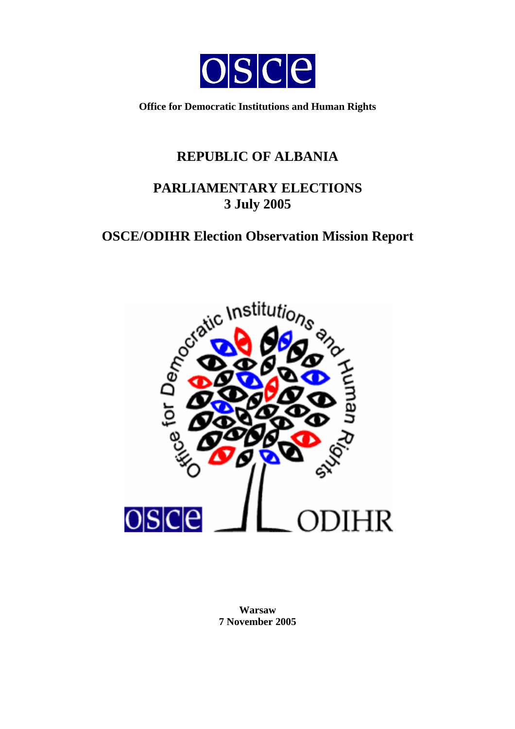

**Office for Democratic Institutions and Human Rights** 

# **REPUBLIC OF ALBANIA**

# **PARLIAMENTARY ELECTIONS 3 July 2005**

# **OSCE/ODIHR Election Observation Mission Report**



**Warsaw 7 November 2005**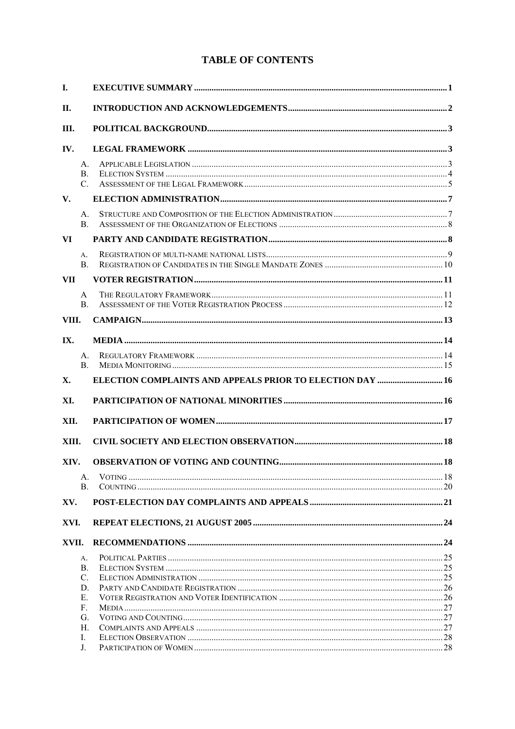### **TABLE OF CONTENTS**

| I.         |                           |                                                                  |  |  |  |
|------------|---------------------------|------------------------------------------------------------------|--|--|--|
| Н.         |                           |                                                                  |  |  |  |
| III.       |                           |                                                                  |  |  |  |
| IV.        |                           |                                                                  |  |  |  |
|            | $A_{-}$<br>B.<br>C.       |                                                                  |  |  |  |
| V.         |                           |                                                                  |  |  |  |
|            | $A_{-}$<br>B <sub>1</sub> |                                                                  |  |  |  |
| VI         |                           |                                                                  |  |  |  |
|            | А.<br><b>B.</b>           |                                                                  |  |  |  |
| <b>VII</b> |                           |                                                                  |  |  |  |
|            | A<br>B.                   |                                                                  |  |  |  |
| VIII.      |                           |                                                                  |  |  |  |
| IX.        |                           |                                                                  |  |  |  |
|            | $A_{-}$<br>B.             |                                                                  |  |  |  |
| <b>X</b> . |                           | <b>ELECTION COMPLAINTS AND APPEALS PRIOR TO ELECTION DAY  16</b> |  |  |  |
| XI.        |                           |                                                                  |  |  |  |
| XII.       |                           |                                                                  |  |  |  |
| XIII.      |                           |                                                                  |  |  |  |
| XIV.       |                           |                                                                  |  |  |  |
|            | А.<br>B.                  |                                                                  |  |  |  |
| XV.        |                           |                                                                  |  |  |  |
| XVI.       |                           |                                                                  |  |  |  |
| XVII.      |                           |                                                                  |  |  |  |
|            | А.                        |                                                                  |  |  |  |
|            | B.                        |                                                                  |  |  |  |
|            | C.                        |                                                                  |  |  |  |
|            | D.                        |                                                                  |  |  |  |
|            | Е.                        |                                                                  |  |  |  |
|            | F.                        |                                                                  |  |  |  |
|            | G.<br>Н.                  |                                                                  |  |  |  |
|            | I.                        |                                                                  |  |  |  |
|            | J.                        |                                                                  |  |  |  |
|            |                           |                                                                  |  |  |  |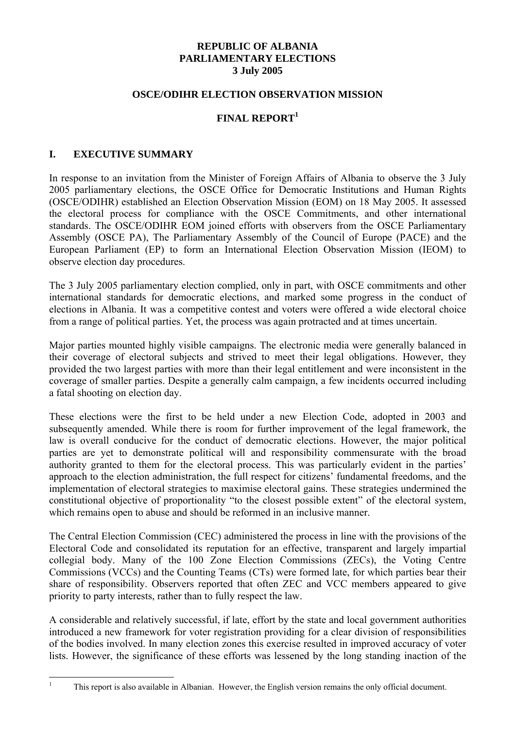#### **REPUBLIC OF ALBANIA PARLIAMENTARY ELECTIONS 3 July 2005**

#### **OSCE/ODIHR ELECTION OBSERVATION MISSION**

### **FINAL REPORT<sup>1</sup>**

#### **I. EXECUTIVE SUMMARY**

In response to an invitation from the Minister of Foreign Affairs of Albania to observe the 3 July 2005 parliamentary elections, the OSCE Office for Democratic Institutions and Human Rights (OSCE/ODIHR) established an Election Observation Mission (EOM) on 18 May 2005. It assessed the electoral process for compliance with the OSCE Commitments, and other international standards. The OSCE/ODIHR EOM joined efforts with observers from the OSCE Parliamentary Assembly (OSCE PA), The Parliamentary Assembly of the Council of Europe (PACE) and the European Parliament (EP) to form an International Election Observation Mission (IEOM) to observe election day procedures.

The 3 July 2005 parliamentary election complied, only in part, with OSCE commitments and other international standards for democratic elections, and marked some progress in the conduct of elections in Albania. It was a competitive contest and voters were offered a wide electoral choice from a range of political parties. Yet, the process was again protracted and at times uncertain.

Major parties mounted highly visible campaigns. The electronic media were generally balanced in their coverage of electoral subjects and strived to meet their legal obligations. However, they provided the two largest parties with more than their legal entitlement and were inconsistent in the coverage of smaller parties. Despite a generally calm campaign, a few incidents occurred including a fatal shooting on election day.

These elections were the first to be held under a new Election Code, adopted in 2003 and subsequently amended. While there is room for further improvement of the legal framework, the law is overall conducive for the conduct of democratic elections. However, the major political parties are yet to demonstrate political will and responsibility commensurate with the broad authority granted to them for the electoral process. This was particularly evident in the parties' approach to the election administration, the full respect for citizens' fundamental freedoms, and the implementation of electoral strategies to maximise electoral gains. These strategies undermined the constitutional objective of proportionality "to the closest possible extent" of the electoral system, which remains open to abuse and should be reformed in an inclusive manner.

The Central Election Commission (CEC) administered the process in line with the provisions of the Electoral Code and consolidated its reputation for an effective, transparent and largely impartial collegial body. Many of the 100 Zone Election Commissions (ZECs), the Voting Centre Commissions (VCCs) and the Counting Teams (CTs) were formed late, for which parties bear their share of responsibility. Observers reported that often ZEC and VCC members appeared to give priority to party interests, rather than to fully respect the law.

A considerable and relatively successful, if late, effort by the state and local government authorities introduced a new framework for voter registration providing for a clear division of responsibilities of the bodies involved. In many election zones this exercise resulted in improved accuracy of voter lists. However, the significance of these efforts was lessened by the long standing inaction of the

 1

This report is also available in Albanian. However, the English version remains the only official document.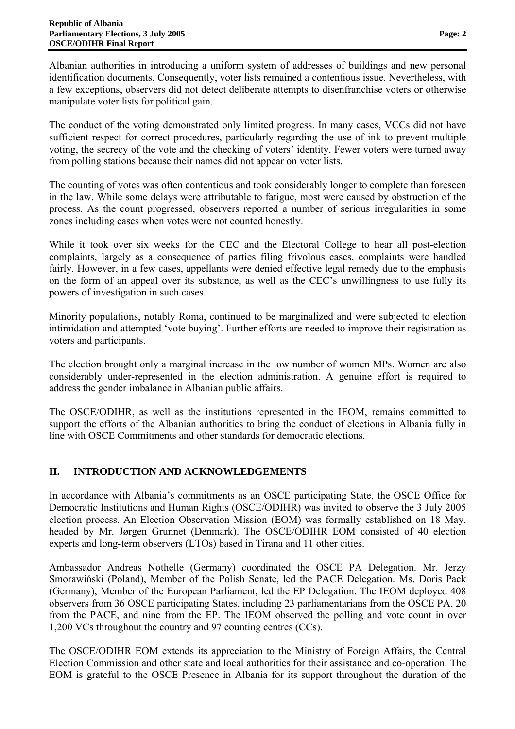Albanian authorities in introducing a uniform system of addresses of buildings and new personal identification documents. Consequently, voter lists remained a contentious issue. Nevertheless, with a few exceptions, observers did not detect deliberate attempts to disenfranchise voters or otherwise manipulate voter lists for political gain.

The conduct of the voting demonstrated only limited progress. In many cases, VCCs did not have sufficient respect for correct procedures, particularly regarding the use of ink to prevent multiple voting, the secrecy of the vote and the checking of voters' identity. Fewer voters were turned away from polling stations because their names did not appear on voter lists.

The counting of votes was often contentious and took considerably longer to complete than foreseen in the law. While some delays were attributable to fatigue, most were caused by obstruction of the process. As the count progressed, observers reported a number of serious irregularities in some zones including cases when votes were not counted honestly.

While it took over six weeks for the CEC and the Electoral College to hear all post-election complaints, largely as a consequence of parties filing frivolous cases, complaints were handled fairly. However, in a few cases, appellants were denied effective legal remedy due to the emphasis on the form of an appeal over its substance, as well as the CEC's unwillingness to use fully its powers of investigation in such cases.

Minority populations, notably Roma, continued to be marginalized and were subjected to election intimidation and attempted 'vote buying'. Further efforts are needed to improve their registration as voters and participants.

The election brought only a marginal increase in the low number of women MPs. Women are also considerably under-represented in the election administration. A genuine effort is required to address the gender imbalance in Albanian public affairs.

The OSCE/ODIHR, as well as the institutions represented in the IEOM, remains committed to support the efforts of the Albanian authorities to bring the conduct of elections in Albania fully in line with OSCE Commitments and other standards for democratic elections.

# **II. INTRODUCTION AND ACKNOWLEDGEMENTS**

In accordance with Albania's commitments as an OSCE participating State, the OSCE Office for Democratic Institutions and Human Rights (OSCE/ODIHR) was invited to observe the 3 July 2005 election process. An Election Observation Mission (EOM) was formally established on 18 May, headed by Mr. Jørgen Grunnet (Denmark). The OSCE/ODIHR EOM consisted of 40 election experts and long-term observers (LTOs) based in Tirana and 11 other cities.

Ambassador Andreas Nothelle (Germany) coordinated the OSCE PA Delegation. Mr. Jerzy Smorawiński (Poland), Member of the Polish Senate, led the PACE Delegation. Ms. Doris Pack (Germany), Member of the European Parliament, led the EP Delegation. The IEOM deployed 408 observers from 36 OSCE participating States, including 23 parliamentarians from the OSCE PA, 20 from the PACE, and nine from the EP. The IEOM observed the polling and vote count in over 1,200 VCs throughout the country and 97 counting centres (CCs).

The OSCE/ODIHR EOM extends its appreciation to the Ministry of Foreign Affairs, the Central Election Commission and other state and local authorities for their assistance and co-operation. The EOM is grateful to the OSCE Presence in Albania for its support throughout the duration of the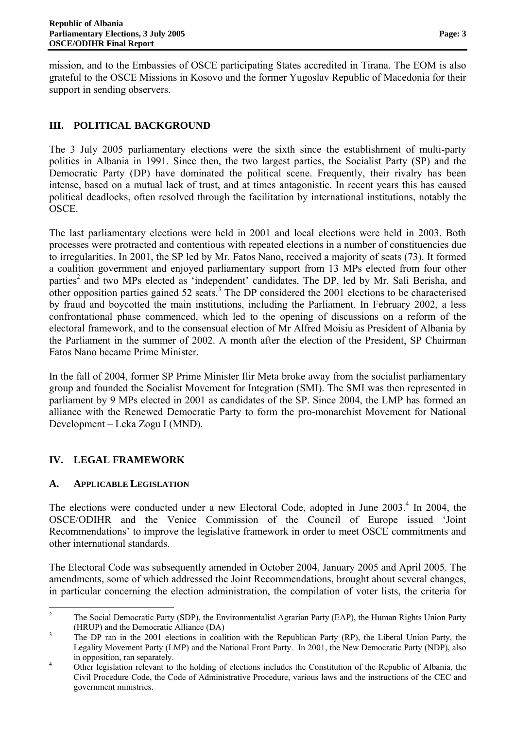mission, and to the Embassies of OSCE participating States accredited in Tirana. The EOM is also grateful to the OSCE Missions in Kosovo and the former Yugoslav Republic of Macedonia for their support in sending observers.

# **III. POLITICAL BACKGROUND**

The 3 July 2005 parliamentary elections were the sixth since the establishment of multi-party politics in Albania in 1991. Since then, the two largest parties, the Socialist Party (SP) and the Democratic Party (DP) have dominated the political scene. Frequently, their rivalry has been intense, based on a mutual lack of trust, and at times antagonistic. In recent years this has caused political deadlocks, often resolved through the facilitation by international institutions, notably the OSCE.

The last parliamentary elections were held in 2001 and local elections were held in 2003. Both processes were protracted and contentious with repeated elections in a number of constituencies due to irregularities. In 2001, the SP led by Mr. Fatos Nano, received a majority of seats (73). It formed a coalition government and enjoyed parliamentary support from 13 MPs elected from four other parties<sup>2</sup> and two MPs elected as 'independent' candidates. The DP, led by Mr. Sali Berisha, and other opposition parties gained 52 seats.<sup>3</sup> The DP considered the 2001 elections to be characterised by fraud and boycotted the main institutions, including the Parliament. In February 2002, a less confrontational phase commenced, which led to the opening of discussions on a reform of the electoral framework, and to the consensual election of Mr Alfred Moisiu as President of Albania by the Parliament in the summer of 2002. A month after the election of the President, SP Chairman Fatos Nano became Prime Minister.

In the fall of 2004, former SP Prime Minister Ilir Meta broke away from the socialist parliamentary group and founded the Socialist Movement for Integration (SMI). The SMI was then represented in parliament by 9 MPs elected in 2001 as candidates of the SP. Since 2004, the LMP has formed an alliance with the Renewed Democratic Party to form the pro-monarchist Movement for National Development – Leka Zogu I (MND).

# **IV. LEGAL FRAMEWORK**

### **A. APPLICABLE LEGISLATION**

The elections were conducted under a new Electoral Code, adopted in June 2003.<sup>4</sup> In 2004, the OSCE/ODIHR and the Venice Commission of the Council of Europe issued 'Joint Recommendations' to improve the legislative framework in order to meet OSCE commitments and other international standards.

The Electoral Code was subsequently amended in October 2004, January 2005 and April 2005. The amendments, some of which addressed the Joint Recommendations, brought about several changes, in particular concerning the election administration, the compilation of voter lists, the criteria for

 2 The Social Democratic Party (SDP), the Environmentalist Agrarian Party (EAP), the Human Rights Union Party (HRUP) and the Democratic Alliance (DA)

The DP ran in the 2001 elections in coalition with the Republican Party (RP), the Liberal Union Party, the Legality Movement Party (LMP) and the National Front Party. In 2001, the New Democratic Party (NDP), also in opposition, ran separately.

Other legislation relevant to the holding of elections includes the Constitution of the Republic of Albania, the Civil Procedure Code, the Code of Administrative Procedure, various laws and the instructions of the CEC and government ministries.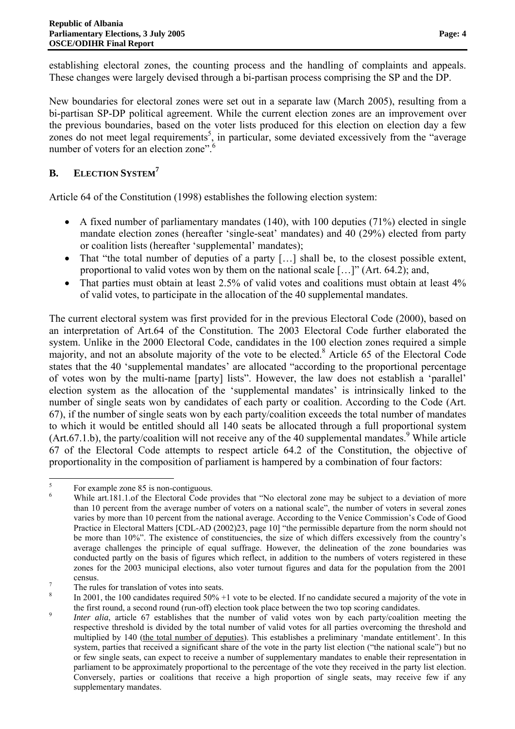New boundaries for electoral zones were set out in a separate law (March 2005), resulting from a bi-partisan SP-DP political agreement. While the current election zones are an improvement over the previous boundaries, based on the voter lists produced for this election on election day a few zones do not meet legal requirements<sup>5</sup>, in particular, some deviated excessively from the "average" number of voters for an election zone".<sup>6</sup>

# **B. ELECTION SYSTEM<sup>7</sup>**

Article 64 of the Constitution (1998) establishes the following election system:

- A fixed number of parliamentary mandates (140), with 100 deputies (71%) elected in single mandate election zones (hereafter 'single-seat' mandates) and 40 (29%) elected from party or coalition lists (hereafter 'supplemental' mandates);
- That "the total number of deputies of a party [...] shall be, to the closest possible extent, proportional to valid votes won by them on the national scale […]" (Art. 64.2); and,
- That parties must obtain at least 2.5% of valid votes and coalitions must obtain at least 4% of valid votes, to participate in the allocation of the 40 supplemental mandates.

The current electoral system was first provided for in the previous Electoral Code (2000), based on an interpretation of Art.64 of the Constitution. The 2003 Electoral Code further elaborated the system. Unlike in the 2000 Electoral Code, candidates in the 100 election zones required a simple majority, and not an absolute majority of the vote to be elected.<sup>8</sup> Article 65 of the Electoral Code states that the 40 'supplemental mandates' are allocated "according to the proportional percentage of votes won by the multi-name [party] lists". However, the law does not establish a 'parallel' election system as the allocation of the 'supplemental mandates' is intrinsically linked to the number of single seats won by candidates of each party or coalition. According to the Code (Art. 67), if the number of single seats won by each party/coalition exceeds the total number of mandates to which it would be entitled should all 140 seats be allocated through a full proportional system  $(Art.67.1.b)$ , the party/coalition will not receive any of the 40 supplemental mandates.<sup>9</sup> While article 67 of the Electoral Code attempts to respect article 64.2 of the Constitution, the objective of proportionality in the composition of parliament is hampered by a combination of four factors:

 5 For example zone 85 is non-contiguous.

<sup>6</sup> While art.181.1.of the Electoral Code provides that "No electoral zone may be subject to a deviation of more than 10 percent from the average number of voters on a national scale", the number of voters in several zones varies by more than 10 percent from the national average. According to the Venice Commission's Code of Good Practice in Electoral Matters [CDL-AD (2002)23, page 10] "the permissible departure from the norm should not be more than 10%". The existence of constituencies, the size of which differs excessively from the country's average challenges the principle of equal suffrage. However, the delineation of the zone boundaries was conducted partly on the basis of figures which reflect, in addition to the numbers of voters registered in these zones for the 2003 municipal elections, also voter turnout figures and data for the population from the 2001  $rac{\text{census}}{7}$ 

The rules for translation of votes into seats.

<sup>8</sup> In 2001, the 100 candidates required  $50\% + 1$  vote to be elected. If no candidate secured a majority of the vote in the first round, a second round (run-off) election took place between the two top scoring candidates.

*Inter alia*, article 67 establishes that the number of valid votes won by each party/coalition meeting the respective threshold is divided by the total number of valid votes for all parties overcoming the threshold and multiplied by 140 (the total number of deputies). This establishes a preliminary 'mandate entitlement'. In this system, parties that received a significant share of the vote in the party list election ("the national scale") but no or few single seats, can expect to receive a number of supplementary mandates to enable their representation in parliament to be approximately proportional to the percentage of the vote they received in the party list election. Conversely, parties or coalitions that receive a high proportion of single seats, may receive few if any supplementary mandates.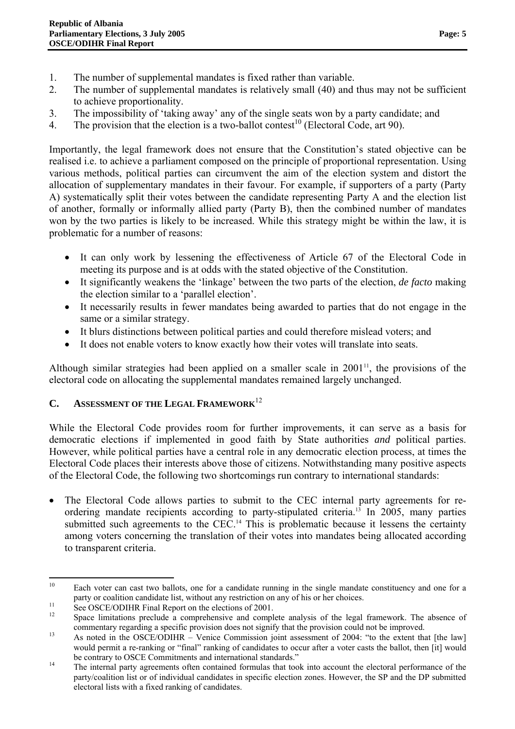- 1. The number of supplemental mandates is fixed rather than variable.
- 2. The number of supplemental mandates is relatively small (40) and thus may not be sufficient to achieve proportionality.
- 3. The impossibility of 'taking away' any of the single seats won by a party candidate; and
- 4. The provision that the election is a two-ballot contest<sup>10</sup> (Electoral Code, art 90).

Importantly, the legal framework does not ensure that the Constitution's stated objective can be realised i.e. to achieve a parliament composed on the principle of proportional representation. Using various methods, political parties can circumvent the aim of the election system and distort the allocation of supplementary mandates in their favour. For example, if supporters of a party (Party A) systematically split their votes between the candidate representing Party A and the election list of another, formally or informally allied party (Party B), then the combined number of mandates won by the two parties is likely to be increased. While this strategy might be within the law, it is problematic for a number of reasons:

- It can only work by lessening the effectiveness of Article 67 of the Electoral Code in meeting its purpose and is at odds with the stated objective of the Constitution.
- It significantly weakens the 'linkage' between the two parts of the election, *de facto* making the election similar to a 'parallel election'.
- It necessarily results in fewer mandates being awarded to parties that do not engage in the same or a similar strategy.
- It blurs distinctions between political parties and could therefore mislead voters; and
- It does not enable voters to know exactly how their votes will translate into seats.

Although similar strategies had been applied on a smaller scale in  $2001<sup>11</sup>$ , the provisions of the electoral code on allocating the supplemental mandates remained largely unchanged.

# **C. ASSESSMENT OF THE LEGAL FRAMEWORK**<sup>12</sup>

While the Electoral Code provides room for further improvements, it can serve as a basis for democratic elections if implemented in good faith by State authorities *and* political parties. However, while political parties have a central role in any democratic election process, at times the Electoral Code places their interests above those of citizens. Notwithstanding many positive aspects of the Electoral Code, the following two shortcomings run contrary to international standards:

The Electoral Code allows parties to submit to the CEC internal party agreements for reordering mandate recipients according to party-stipulated criteria.<sup>13</sup> In 2005, many parties submitted such agreements to the CEC.<sup>14</sup> This is problematic because it lessens the certainty among voters concerning the translation of their votes into mandates being allocated according to transparent criteria.

 Each voter can cast two ballots, one for a candidate running in the single mandate constituency and one for a party or coalition candidate list, without any restriction on any of his or her choices.<br>
See OSCE/ODIHR Final Report on the elections of 2001.

Space limitations preclude a comprehensive and complete analysis of the legal framework. The absence of commentary regarding a specific provision does not signify that the provision could not be improved.<br>
13 As noted in the OSCE/ODIHR – Venice Commission joint assessment of 2004: "to the extent that [the law]

would permit a re-ranking or "final" ranking of candidates to occur after a voter casts the ballot, then [it] would

<sup>&</sup>lt;sup>14</sup> The internal party agreements often contained formulas that took into account the electoral performance of the party/coalition list or of individual candidates in specific election zones. However, the SP and the DP submitted electoral lists with a fixed ranking of candidates.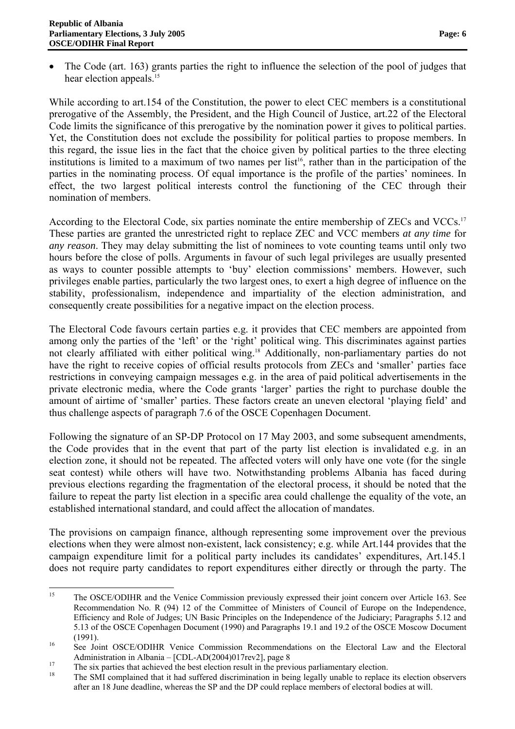• The Code (art. 163) grants parties the right to influence the selection of the pool of judges that hear election appeals.<sup>15</sup>

While according to art.154 of the Constitution, the power to elect CEC members is a constitutional prerogative of the Assembly, the President, and the High Council of Justice, art.22 of the Electoral Code limits the significance of this prerogative by the nomination power it gives to political parties. Yet, the Constitution does not exclude the possibility for political parties to propose members. In this regard, the issue lies in the fact that the choice given by political parties to the three electing institutions is limited to a maximum of two names per list<sup>16</sup>, rather than in the participation of the parties in the nominating process. Of equal importance is the profile of the parties' nominees. In effect, the two largest political interests control the functioning of the CEC through their nomination of members.

According to the Electoral Code, six parties nominate the entire membership of ZECs and VCCs.<sup>17</sup> These parties are granted the unrestricted right to replace ZEC and VCC members *at any time* for *any reason*. They may delay submitting the list of nominees to vote counting teams until only two hours before the close of polls. Arguments in favour of such legal privileges are usually presented as ways to counter possible attempts to 'buy' election commissions' members. However, such privileges enable parties, particularly the two largest ones, to exert a high degree of influence on the stability, professionalism, independence and impartiality of the election administration, and consequently create possibilities for a negative impact on the election process.

The Electoral Code favours certain parties e.g. it provides that CEC members are appointed from among only the parties of the 'left' or the 'right' political wing. This discriminates against parties not clearly affiliated with either political wing.<sup>18</sup> Additionally, non-parliamentary parties do not have the right to receive copies of official results protocols from ZECs and 'smaller' parties face restrictions in conveying campaign messages e.g. in the area of paid political advertisements in the private electronic media, where the Code grants 'larger' parties the right to purchase double the amount of airtime of 'smaller' parties. These factors create an uneven electoral 'playing field' and thus challenge aspects of paragraph 7.6 of the OSCE Copenhagen Document.

Following the signature of an SP-DP Protocol on 17 May 2003, and some subsequent amendments, the Code provides that in the event that part of the party list election is invalidated e.g. in an election zone, it should not be repeated. The affected voters will only have one vote (for the single seat contest) while others will have two. Notwithstanding problems Albania has faced during previous elections regarding the fragmentation of the electoral process, it should be noted that the failure to repeat the party list election in a specific area could challenge the equality of the vote, an established international standard, and could affect the allocation of mandates.

The provisions on campaign finance, although representing some improvement over the previous elections when they were almost non-existent, lack consistency; e.g. while Art.144 provides that the campaign expenditure limit for a political party includes its candidates' expenditures, Art.145.1 does not require party candidates to report expenditures either directly or through the party. The

 $15$ 15 The OSCE/ODIHR and the Venice Commission previously expressed their joint concern over Article 163. See Recommendation No. R (94) 12 of the Committee of Ministers of Council of Europe on the Independence, Efficiency and Role of Judges; UN Basic Principles on the Independence of the Judiciary; Paragraphs 5.12 and 5.13 of the OSCE Copenhagen Document (1990) and Paragraphs 19.1 and 19.2 of the OSCE Moscow Document (1991). 16 See Joint OSCE/ODIHR Venice Commission Recommendations on the Electoral Law and the Electoral

Administration in Albania –  $[CDL-AD(2004)017rev2]$ , page 8<br>
The six parties that achieved the best election result in the previous parliamentary election.<br>
The SMI completed that it had suffered discrimination in being legal

The SMI complained that it had suffered discrimination in being legally unable to replace its election observers after an 18 June deadline, whereas the SP and the DP could replace members of electoral bodies at will.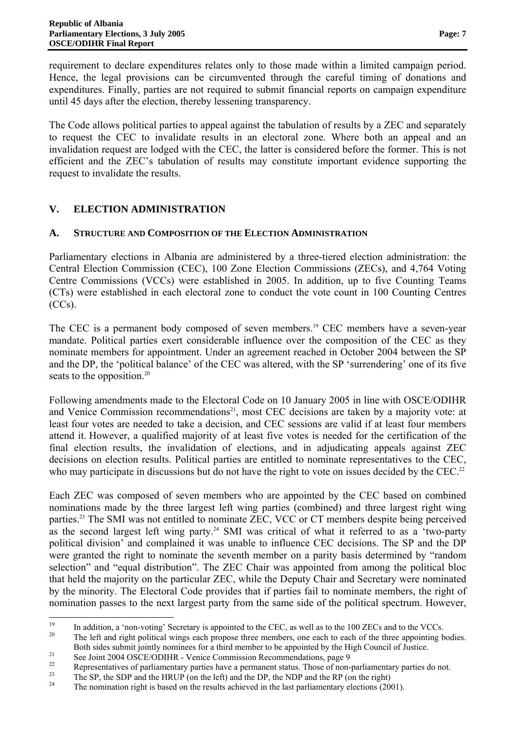requirement to declare expenditures relates only to those made within a limited campaign period. Hence, the legal provisions can be circumvented through the careful timing of donations and expenditures. Finally, parties are not required to submit financial reports on campaign expenditure until 45 days after the election, thereby lessening transparency.

The Code allows political parties to appeal against the tabulation of results by a ZEC and separately to request the CEC to invalidate results in an electoral zone. Where both an appeal and an invalidation request are lodged with the CEC, the latter is considered before the former. This is not efficient and the ZEC's tabulation of results may constitute important evidence supporting the request to invalidate the results.

# **V. ELECTION ADMINISTRATION**

### **A. STRUCTURE AND COMPOSITION OF THE ELECTION ADMINISTRATION**

Parliamentary elections in Albania are administered by a three-tiered election administration: the Central Election Commission (CEC), 100 Zone Election Commissions (ZECs), and 4,764 Voting Centre Commissions (VCCs) were established in 2005. In addition, up to five Counting Teams (CTs) were established in each electoral zone to conduct the vote count in 100 Counting Centres  $(CCs)$ .

The CEC is a permanent body composed of seven members.<sup>19</sup> CEC members have a seven-year mandate. Political parties exert considerable influence over the composition of the CEC as they nominate members for appointment. Under an agreement reached in October 2004 between the SP and the DP, the 'political balance' of the CEC was altered, with the SP 'surrendering' one of its five seats to the opposition.<sup>20</sup>

Following amendments made to the Electoral Code on 10 January 2005 in line with OSCE/ODIHR and Venice Commission recommendations<sup>21</sup>, most CEC decisions are taken by a majority vote: at least four votes are needed to take a decision, and CEC sessions are valid if at least four members attend it. However, a qualified majority of at least five votes is needed for the certification of the final election results, the invalidation of elections, and in adjudicating appeals against ZEC decisions on election results. Political parties are entitled to nominate representatives to the CEC, who may participate in discussions but do not have the right to vote on issues decided by the CEC.<sup>22</sup>

Each ZEC was composed of seven members who are appointed by the CEC based on combined nominations made by the three largest left wing parties (combined) and three largest right wing parties.23 The SMI was not entitled to nominate ZEC, VCC or CT members despite being perceived as the second largest left wing party.<sup>24</sup> SMI was critical of what it referred to as a 'two-party political division' and complained it was unable to influence CEC decisions. The SP and the DP were granted the right to nominate the seventh member on a parity basis determined by "random selection" and "equal distribution". The ZEC Chair was appointed from among the political bloc that held the majority on the particular ZEC, while the Deputy Chair and Secretary were nominated by the minority. The Electoral Code provides that if parties fail to nominate members, the right of nomination passes to the next largest party from the same side of the political spectrum. However,

<sup>&</sup>lt;sup>19</sup> In addition, a 'non-voting' Secretary is appointed to the CEC, as well as to the 100 ZECs and to the VCCs.<br><sup>20</sup> The left and right political wings each propose three members, one each to each of the three appointing Both sides submit jointly nominees for a third member to be appointed by the High Council of Justice.<br>
See Joint 2004 OSCE/ODIHR - Venice Commission Recommendations, page 9

<sup>&</sup>lt;sup>22</sup> Representatives of parliamentary parties have a permanent status. Those of non-parliamentary parties do not.<br><sup>23</sup> The SD de SDD and the UDUD (and the LOD de NDD and the DD (and the ND) (and the SD).

<sup>&</sup>lt;sup>23</sup> The SP, the SDP and the HRUP (on the left) and the DP, the NDP and the RP (on the right)<br><sup>24</sup> The nomination right is based on the results achieved in the last parliamentary elections (2001).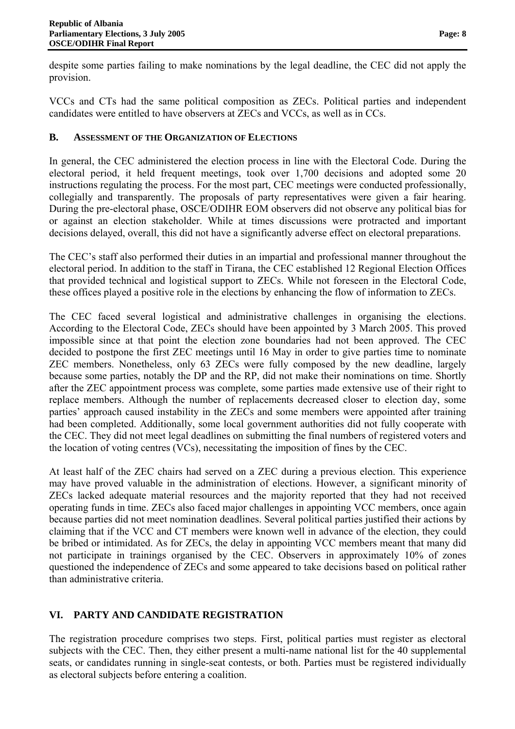despite some parties failing to make nominations by the legal deadline, the CEC did not apply the provision.

VCCs and CTs had the same political composition as ZECs. Political parties and independent candidates were entitled to have observers at ZECs and VCCs, as well as in CCs.

### **B. ASSESSMENT OF THE ORGANIZATION OF ELECTIONS**

In general, the CEC administered the election process in line with the Electoral Code. During the electoral period, it held frequent meetings, took over 1,700 decisions and adopted some 20 instructions regulating the process. For the most part, CEC meetings were conducted professionally, collegially and transparently. The proposals of party representatives were given a fair hearing. During the pre-electoral phase, OSCE/ODIHR EOM observers did not observe any political bias for or against an election stakeholder. While at times discussions were protracted and important decisions delayed, overall, this did not have a significantly adverse effect on electoral preparations.

The CEC's staff also performed their duties in an impartial and professional manner throughout the electoral period. In addition to the staff in Tirana, the CEC established 12 Regional Election Offices that provided technical and logistical support to ZECs. While not foreseen in the Electoral Code, these offices played a positive role in the elections by enhancing the flow of information to ZECs.

The CEC faced several logistical and administrative challenges in organising the elections. According to the Electoral Code, ZECs should have been appointed by 3 March 2005. This proved impossible since at that point the election zone boundaries had not been approved. The CEC decided to postpone the first ZEC meetings until 16 May in order to give parties time to nominate ZEC members. Nonetheless, only 63 ZECs were fully composed by the new deadline, largely because some parties, notably the DP and the RP, did not make their nominations on time. Shortly after the ZEC appointment process was complete, some parties made extensive use of their right to replace members. Although the number of replacements decreased closer to election day, some parties' approach caused instability in the ZECs and some members were appointed after training had been completed. Additionally, some local government authorities did not fully cooperate with the CEC. They did not meet legal deadlines on submitting the final numbers of registered voters and the location of voting centres (VCs), necessitating the imposition of fines by the CEC.

At least half of the ZEC chairs had served on a ZEC during a previous election. This experience may have proved valuable in the administration of elections. However, a significant minority of ZECs lacked adequate material resources and the majority reported that they had not received operating funds in time. ZECs also faced major challenges in appointing VCC members, once again because parties did not meet nomination deadlines. Several political parties justified their actions by claiming that if the VCC and CT members were known well in advance of the election, they could be bribed or intimidated. As for ZECs, the delay in appointing VCC members meant that many did not participate in trainings organised by the CEC. Observers in approximately 10% of zones questioned the independence of ZECs and some appeared to take decisions based on political rather than administrative criteria.

# **VI. PARTY AND CANDIDATE REGISTRATION**

The registration procedure comprises two steps. First, political parties must register as electoral subjects with the CEC. Then, they either present a multi-name national list for the 40 supplemental seats, or candidates running in single-seat contests, or both. Parties must be registered individually as electoral subjects before entering a coalition.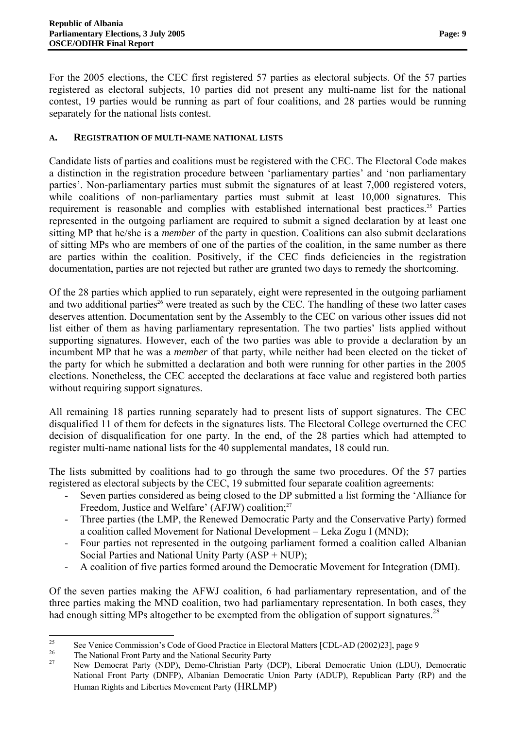For the 2005 elections, the CEC first registered 57 parties as electoral subjects. Of the 57 parties registered as electoral subjects, 10 parties did not present any multi-name list for the national contest, 19 parties would be running as part of four coalitions, and 28 parties would be running separately for the national lists contest.

### **A. REGISTRATION OF MULTI-NAME NATIONAL LISTS**

Candidate lists of parties and coalitions must be registered with the CEC. The Electoral Code makes a distinction in the registration procedure between 'parliamentary parties' and 'non parliamentary parties'. Non-parliamentary parties must submit the signatures of at least 7,000 registered voters, while coalitions of non-parliamentary parties must submit at least 10,000 signatures. This requirement is reasonable and complies with established international best practices.<sup>25</sup> Parties represented in the outgoing parliament are required to submit a signed declaration by at least one sitting MP that he/she is a *member* of the party in question. Coalitions can also submit declarations of sitting MPs who are members of one of the parties of the coalition, in the same number as there are parties within the coalition. Positively, if the CEC finds deficiencies in the registration documentation, parties are not rejected but rather are granted two days to remedy the shortcoming.

Of the 28 parties which applied to run separately, eight were represented in the outgoing parliament and two additional parties<sup>26</sup> were treated as such by the CEC. The handling of these two latter cases deserves attention. Documentation sent by the Assembly to the CEC on various other issues did not list either of them as having parliamentary representation. The two parties' lists applied without supporting signatures. However, each of the two parties was able to provide a declaration by an incumbent MP that he was a *member* of that party, while neither had been elected on the ticket of the party for which he submitted a declaration and both were running for other parties in the 2005 elections. Nonetheless, the CEC accepted the declarations at face value and registered both parties without requiring support signatures.

All remaining 18 parties running separately had to present lists of support signatures. The CEC disqualified 11 of them for defects in the signatures lists. The Electoral College overturned the CEC decision of disqualification for one party. In the end, of the 28 parties which had attempted to register multi-name national lists for the 40 supplemental mandates, 18 could run.

The lists submitted by coalitions had to go through the same two procedures. Of the 57 parties registered as electoral subjects by the CEC, 19 submitted four separate coalition agreements:

- Seven parties considered as being closed to the DP submitted a list forming the 'Alliance for Freedom, Justice and Welfare' (AFJW) coalition;<sup>27</sup>
- Three parties (the LMP, the Renewed Democratic Party and the Conservative Party) formed a coalition called Movement for National Development – Leka Zogu I (MND);
- Four parties not represented in the outgoing parliament formed a coalition called Albanian Social Parties and National Unity Party (ASP + NUP);
- A coalition of five parties formed around the Democratic Movement for Integration (DMI).

Of the seven parties making the AFWJ coalition, 6 had parliamentary representation, and of the three parties making the MND coalition, two had parliamentary representation. In both cases, they had enough sitting MPs altogether to be exempted from the obligation of support signatures.<sup>28</sup>

 <sup>25</sup> See Venice Commission's Code of Good Practice in Electoral Matters [CDL-AD (2002)23], page 9

<sup>&</sup>lt;sup>26</sup> The National Front Party and the National Security Party

<sup>27</sup> New Democrat Party (NDP), Demo-Christian Party (DCP), Liberal Democratic Union (LDU), Democratic National Front Party (DNFP), Albanian Democratic Union Party (ADUP), Republican Party (RP) and the Human Rights and Liberties Movement Party (HRLMP)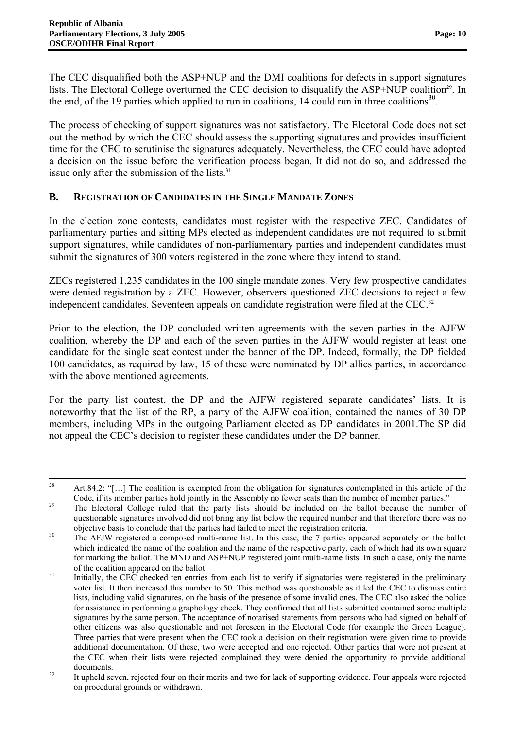The CEC disqualified both the ASP+NUP and the DMI coalitions for defects in support signatures lists. The Electoral College overturned the CEC decision to disqualify the ASP+NUP coalition<sup>29</sup>. In the end, of the 19 parties which applied to run in coalitions, 14 could run in three coalitions<sup>30</sup>.

The process of checking of support signatures was not satisfactory. The Electoral Code does not set out the method by which the CEC should assess the supporting signatures and provides insufficient time for the CEC to scrutinise the signatures adequately. Nevertheless, the CEC could have adopted a decision on the issue before the verification process began. It did not do so, and addressed the issue only after the submission of the lists.<sup>31</sup>

### **B. REGISTRATION OF CANDIDATES IN THE SINGLE MANDATE ZONES**

In the election zone contests, candidates must register with the respective ZEC. Candidates of parliamentary parties and sitting MPs elected as independent candidates are not required to submit support signatures, while candidates of non-parliamentary parties and independent candidates must submit the signatures of 300 voters registered in the zone where they intend to stand.

ZECs registered 1,235 candidates in the 100 single mandate zones. Very few prospective candidates were denied registration by a ZEC. However, observers questioned ZEC decisions to reject a few independent candidates. Seventeen appeals on candidate registration were filed at the CEC.<sup>32</sup>

Prior to the election, the DP concluded written agreements with the seven parties in the AJFW coalition, whereby the DP and each of the seven parties in the AJFW would register at least one candidate for the single seat contest under the banner of the DP. Indeed, formally, the DP fielded 100 candidates, as required by law, 15 of these were nominated by DP allies parties, in accordance with the above mentioned agreements.

For the party list contest, the DP and the AJFW registered separate candidates' lists. It is noteworthy that the list of the RP, a party of the AJFW coalition, contained the names of 30 DP members, including MPs in the outgoing Parliament elected as DP candidates in 2001.The SP did not appeal the CEC's decision to register these candidates under the DP banner.

 Art.84.2: "[ $\dots$ ] The coalition is exempted from the obligation for signatures contemplated in this article of the

Code, if its member parties hold jointly in the Assembly no fewer seats than the number of member parties."<br>The Electoral College ruled that the party lists should be included on the ballot because the number of questionable signatures involved did not bring any list below the required number and that therefore there was no

objective basis to conclude that the parties had failed to meet the registration criteria.<br><sup>30</sup> The AFJW registered a composed multi-name list. In this case, the 7 parties appeared separately on the ballot which indicated the name of the coalition and the name of the respective party, each of which had its own square for marking the ballot. The MND and ASP+NUP registered joint multi-name lists. In such a case, only the name

of the coalition appeared on the ballot.<br>31 Initially, the CEC checked ten entries from each list to verify if signatories were registered in the preliminary voter list. It then increased this number to 50. This method was questionable as it led the CEC to dismiss entire lists, including valid signatures, on the basis of the presence of some invalid ones. The CEC also asked the police for assistance in performing a graphology check. They confirmed that all lists submitted contained some multiple signatures by the same person. The acceptance of notarised statements from persons who had signed on behalf of other citizens was also questionable and not foreseen in the Electoral Code (for example the Green League). Three parties that were present when the CEC took a decision on their registration were given time to provide additional documentation. Of these, two were accepted and one rejected. Other parties that were not present at the CEC when their lists were rejected complained they were denied the opportunity to provide additional documents.<br><sup>32</sup> It upheld seven, rejected four on their merits and two for lack of supporting evidence. Four appeals were rejected

on procedural grounds or withdrawn.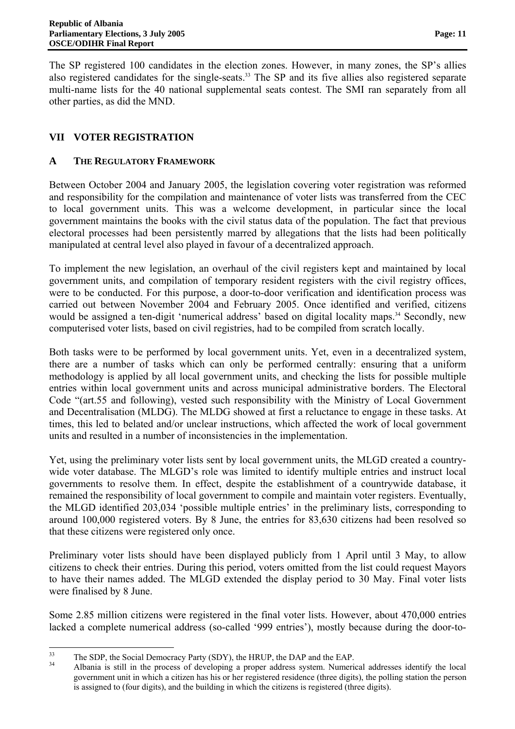The SP registered 100 candidates in the election zones. However, in many zones, the SP's allies also registered candidates for the single-seats.<sup>33</sup> The SP and its five allies also registered separate multi-name lists for the 40 national supplemental seats contest. The SMI ran separately from all other parties, as did the MND.

# **VII VOTER REGISTRATION**

## **A THE REGULATORY FRAMEWORK**

Between October 2004 and January 2005, the legislation covering voter registration was reformed and responsibility for the compilation and maintenance of voter lists was transferred from the CEC to local government units. This was a welcome development, in particular since the local government maintains the books with the civil status data of the population. The fact that previous electoral processes had been persistently marred by allegations that the lists had been politically manipulated at central level also played in favour of a decentralized approach.

To implement the new legislation, an overhaul of the civil registers kept and maintained by local government units, and compilation of temporary resident registers with the civil registry offices, were to be conducted. For this purpose, a door-to-door verification and identification process was carried out between November 2004 and February 2005. Once identified and verified, citizens would be assigned a ten-digit 'numerical address' based on digital locality maps.<sup>34</sup> Secondly, new computerised voter lists, based on civil registries, had to be compiled from scratch locally.

Both tasks were to be performed by local government units. Yet, even in a decentralized system, there are a number of tasks which can only be performed centrally: ensuring that a uniform methodology is applied by all local government units, and checking the lists for possible multiple entries within local government units and across municipal administrative borders. The Electoral Code "(art.55 and following), vested such responsibility with the Ministry of Local Government and Decentralisation (MLDG). The MLDG showed at first a reluctance to engage in these tasks. At times, this led to belated and/or unclear instructions, which affected the work of local government units and resulted in a number of inconsistencies in the implementation.

Yet, using the preliminary voter lists sent by local government units, the MLGD created a countrywide voter database. The MLGD's role was limited to identify multiple entries and instruct local governments to resolve them. In effect, despite the establishment of a countrywide database, it remained the responsibility of local government to compile and maintain voter registers. Eventually, the MLGD identified 203,034 'possible multiple entries' in the preliminary lists, corresponding to around 100,000 registered voters. By 8 June, the entries for 83,630 citizens had been resolved so that these citizens were registered only once.

Preliminary voter lists should have been displayed publicly from 1 April until 3 May, to allow citizens to check their entries. During this period, voters omitted from the list could request Mayors to have their names added. The MLGD extended the display period to 30 May. Final voter lists were finalised by 8 June.

Some 2.85 million citizens were registered in the final voter lists. However, about 470,000 entries lacked a complete numerical address (so-called '999 entries'), mostly because during the door-to-

<sup>&</sup>lt;sup>33</sup> The SDP, the Social Democracy Party (SDY), the HRUP, the DAP and the EAP.<br>Albania is still in the process of developing a proper address system. Numerical addresses identify the local government unit in which a citizen has his or her registered residence (three digits), the polling station the person is assigned to (four digits), and the building in which the citizens is registered (three digits).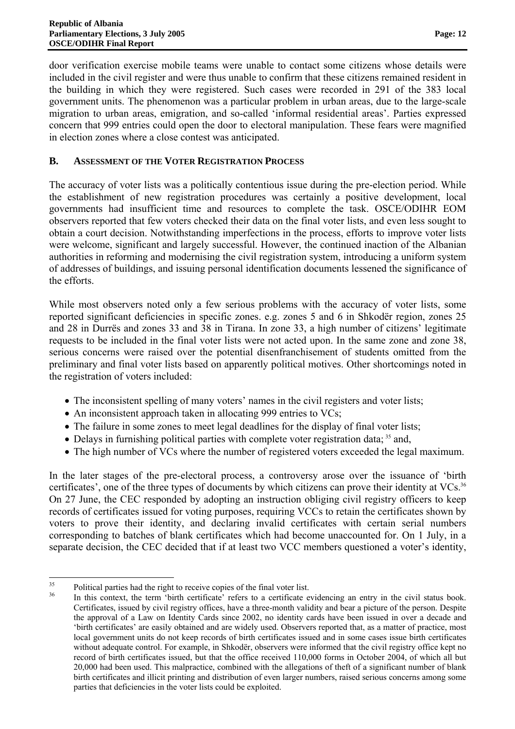door verification exercise mobile teams were unable to contact some citizens whose details were included in the civil register and were thus unable to confirm that these citizens remained resident in the building in which they were registered. Such cases were recorded in 291 of the 383 local government units. The phenomenon was a particular problem in urban areas, due to the large-scale migration to urban areas, emigration, and so-called 'informal residential areas'. Parties expressed concern that 999 entries could open the door to electoral manipulation. These fears were magnified in election zones where a close contest was anticipated.

### **B. ASSESSMENT OF THE VOTER REGISTRATION PROCESS**

The accuracy of voter lists was a politically contentious issue during the pre-election period. While the establishment of new registration procedures was certainly a positive development, local governments had insufficient time and resources to complete the task. OSCE/ODIHR EOM observers reported that few voters checked their data on the final voter lists, and even less sought to obtain a court decision. Notwithstanding imperfections in the process, efforts to improve voter lists were welcome, significant and largely successful. However, the continued inaction of the Albanian authorities in reforming and modernising the civil registration system, introducing a uniform system of addresses of buildings, and issuing personal identification documents lessened the significance of the efforts.

While most observers noted only a few serious problems with the accuracy of voter lists, some reported significant deficiencies in specific zones. e.g. zones 5 and 6 in Shkodër region, zones 25 and 28 in Durrës and zones 33 and 38 in Tirana. In zone 33, a high number of citizens' legitimate requests to be included in the final voter lists were not acted upon. In the same zone and zone 38, serious concerns were raised over the potential disenfranchisement of students omitted from the preliminary and final voter lists based on apparently political motives. Other shortcomings noted in the registration of voters included:

- The inconsistent spelling of many voters' names in the civil registers and voter lists;
- An inconsistent approach taken in allocating 999 entries to VCs;
- The failure in some zones to meet legal deadlines for the display of final voter lists;
- Delays in furnishing political parties with complete voter registration data;  $35$  and,
- The high number of VCs where the number of registered voters exceeded the legal maximum.

In the later stages of the pre-electoral process, a controversy arose over the issuance of 'birth certificates', one of the three types of documents by which citizens can prove their identity at VCs.<sup>36</sup> On 27 June, the CEC responded by adopting an instruction obliging civil registry officers to keep records of certificates issued for voting purposes, requiring VCCs to retain the certificates shown by voters to prove their identity, and declaring invalid certificates with certain serial numbers corresponding to batches of blank certificates which had become unaccounted for. On 1 July, in a separate decision, the CEC decided that if at least two VCC members questioned a voter's identity,

  $\frac{35}{16}$  Political parties had the right to receive copies of the final voter list.

In this context, the term 'birth certificate' refers to a certificate evidencing an entry in the civil status book. Certificates, issued by civil registry offices, have a three-month validity and bear a picture of the person. Despite the approval of a Law on Identity Cards since 2002, no identity cards have been issued in over a decade and 'birth certificates' are easily obtained and are widely used. Observers reported that, as a matter of practice, most local government units do not keep records of birth certificates issued and in some cases issue birth certificates without adequate control. For example, in Shkodër, observers were informed that the civil registry office kept no record of birth certificates issued, but that the office received 110,000 forms in October 2004, of which all but 20,000 had been used. This malpractice, combined with the allegations of theft of a significant number of blank birth certificates and illicit printing and distribution of even larger numbers, raised serious concerns among some parties that deficiencies in the voter lists could be exploited.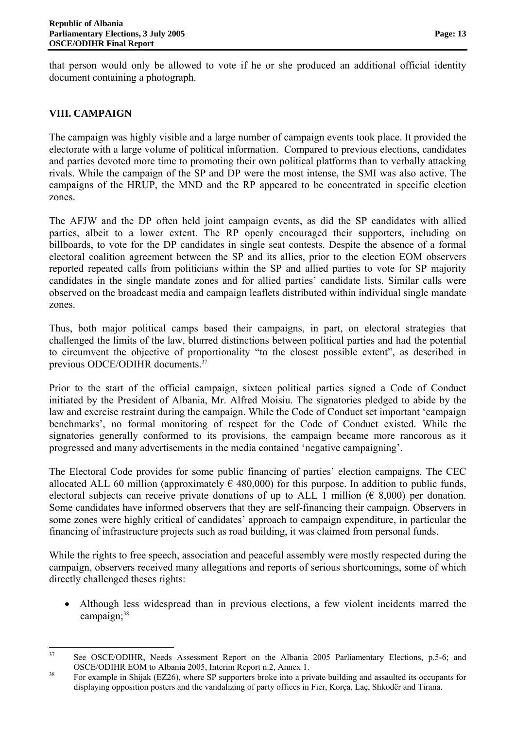that person would only be allowed to vote if he or she produced an additional official identity document containing a photograph.

## **VIII. CAMPAIGN**

The campaign was highly visible and a large number of campaign events took place. It provided the electorate with a large volume of political information. Compared to previous elections, candidates and parties devoted more time to promoting their own political platforms than to verbally attacking rivals. While the campaign of the SP and DP were the most intense, the SMI was also active. The campaigns of the HRUP, the MND and the RP appeared to be concentrated in specific election zones.

The AFJW and the DP often held joint campaign events, as did the SP candidates with allied parties, albeit to a lower extent. The RP openly encouraged their supporters, including on billboards, to vote for the DP candidates in single seat contests. Despite the absence of a formal electoral coalition agreement between the SP and its allies, prior to the election EOM observers reported repeated calls from politicians within the SP and allied parties to vote for SP majority candidates in the single mandate zones and for allied parties' candidate lists. Similar calls were observed on the broadcast media and campaign leaflets distributed within individual single mandate zones.

Thus, both major political camps based their campaigns, in part, on electoral strategies that challenged the limits of the law, blurred distinctions between political parties and had the potential to circumvent the objective of proportionality "to the closest possible extent", as described in previous ODCE/ODIHR documents.<sup>37</sup>

Prior to the start of the official campaign, sixteen political parties signed a Code of Conduct initiated by the President of Albania, Mr. Alfred Moisiu. The signatories pledged to abide by the law and exercise restraint during the campaign. While the Code of Conduct set important 'campaign benchmarks', no formal monitoring of respect for the Code of Conduct existed. While the signatories generally conformed to its provisions, the campaign became more rancorous as it progressed and many advertisements in the media contained 'negative campaigning'.

The Electoral Code provides for some public financing of parties' election campaigns. The CEC allocated ALL 60 million (approximately  $\epsilon$  480,000) for this purpose. In addition to public funds, electoral subjects can receive private donations of up to ALL 1 million ( $\epsilon$  8,000) per donation. Some candidates have informed observers that they are self-financing their campaign. Observers in some zones were highly critical of candidates' approach to campaign expenditure, in particular the financing of infrastructure projects such as road building, it was claimed from personal funds.

While the rights to free speech, association and peaceful assembly were mostly respected during the campaign, observers received many allegations and reports of serious shortcomings, some of which directly challenged theses rights:

• Although less widespread than in previous elections, a few violent incidents marred the campaign;<sup>38</sup>

 See OSCE/ODIHR, Needs Assessment Report on the Albania 2005 Parliamentary Elections, p.5-6; and OSCE/ODIHR EOM to Albania 2005, Interim Report n.2, Annex 1.<br><sup>38</sup> For example in Shijak (EZ26), where SP supporters broke into a private building and assaulted its occupants for

displaying opposition posters and the vandalizing of party offices in Fier, Korça, Laç, Shkodër and Tirana.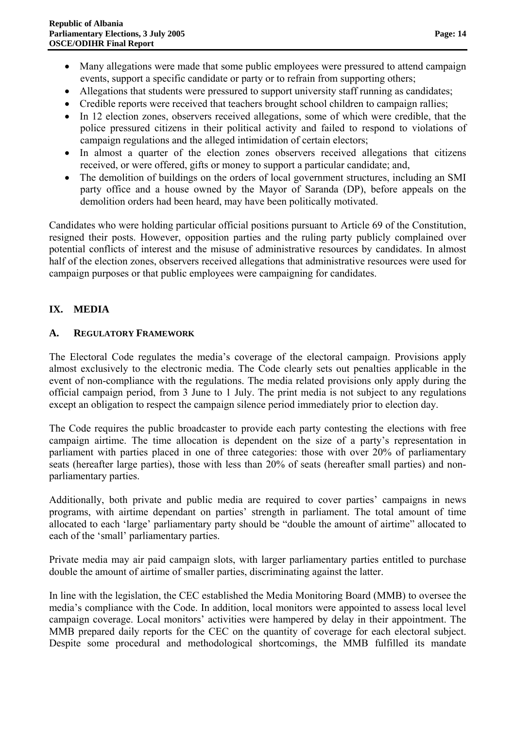- Many allegations were made that some public employees were pressured to attend campaign events, support a specific candidate or party or to refrain from supporting others;
- Allegations that students were pressured to support university staff running as candidates;
- Credible reports were received that teachers brought school children to campaign rallies;
- In 12 election zones, observers received allegations, some of which were credible, that the police pressured citizens in their political activity and failed to respond to violations of campaign regulations and the alleged intimidation of certain electors;
- In almost a quarter of the election zones observers received allegations that citizens received, or were offered, gifts or money to support a particular candidate; and,
- The demolition of buildings on the orders of local government structures, including an SMI party office and a house owned by the Mayor of Saranda (DP), before appeals on the demolition orders had been heard, may have been politically motivated.

Candidates who were holding particular official positions pursuant to Article 69 of the Constitution, resigned their posts. However, opposition parties and the ruling party publicly complained over potential conflicts of interest and the misuse of administrative resources by candidates. In almost half of the election zones, observers received allegations that administrative resources were used for campaign purposes or that public employees were campaigning for candidates.

# **IX. MEDIA**

### **A. REGULATORY FRAMEWORK**

The Electoral Code regulates the media's coverage of the electoral campaign. Provisions apply almost exclusively to the electronic media. The Code clearly sets out penalties applicable in the event of non-compliance with the regulations. The media related provisions only apply during the official campaign period, from 3 June to 1 July. The print media is not subject to any regulations except an obligation to respect the campaign silence period immediately prior to election day.

The Code requires the public broadcaster to provide each party contesting the elections with free campaign airtime. The time allocation is dependent on the size of a party's representation in parliament with parties placed in one of three categories: those with over 20% of parliamentary seats (hereafter large parties), those with less than 20% of seats (hereafter small parties) and nonparliamentary parties.

Additionally, both private and public media are required to cover parties' campaigns in news programs, with airtime dependant on parties' strength in parliament. The total amount of time allocated to each 'large' parliamentary party should be "double the amount of airtime" allocated to each of the 'small' parliamentary parties.

Private media may air paid campaign slots, with larger parliamentary parties entitled to purchase double the amount of airtime of smaller parties, discriminating against the latter.

In line with the legislation, the CEC established the Media Monitoring Board (MMB) to oversee the media's compliance with the Code. In addition, local monitors were appointed to assess local level campaign coverage. Local monitors' activities were hampered by delay in their appointment. The MMB prepared daily reports for the CEC on the quantity of coverage for each electoral subject. Despite some procedural and methodological shortcomings, the MMB fulfilled its mandate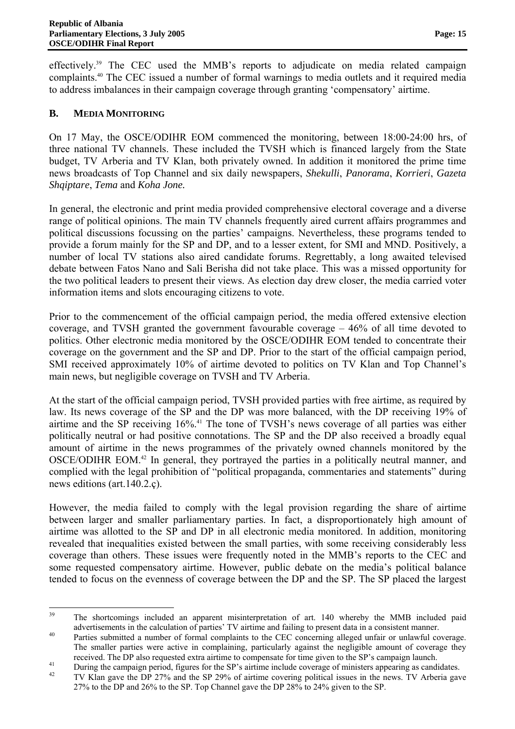effectively.39 The CEC used the MMB's reports to adjudicate on media related campaign complaints.40 The CEC issued a number of formal warnings to media outlets and it required media to address imbalances in their campaign coverage through granting 'compensatory' airtime.

### **B. MEDIA MONITORING**

On 17 May, the OSCE/ODIHR EOM commenced the monitoring, between 18:00-24:00 hrs, of three national TV channels. These included the TVSH which is financed largely from the State budget, TV Arberia and TV Klan, both privately owned. In addition it monitored the prime time news broadcasts of Top Channel and six daily newspapers, *Shekulli*, *Panorama*, *Korrieri*, *Gazeta Shqiptare*, *Tema* and *Koha Jone.*

In general, the electronic and print media provided comprehensive electoral coverage and a diverse range of political opinions. The main TV channels frequently aired current affairs programmes and political discussions focussing on the parties' campaigns. Nevertheless, these programs tended to provide a forum mainly for the SP and DP, and to a lesser extent, for SMI and MND. Positively, a number of local TV stations also aired candidate forums. Regrettably, a long awaited televised debate between Fatos Nano and Sali Berisha did not take place. This was a missed opportunity for the two political leaders to present their views. As election day drew closer, the media carried voter information items and slots encouraging citizens to vote.

Prior to the commencement of the official campaign period, the media offered extensive election coverage, and TVSH granted the government favourable coverage – 46% of all time devoted to politics. Other electronic media monitored by the OSCE/ODIHR EOM tended to concentrate their coverage on the government and the SP and DP. Prior to the start of the official campaign period, SMI received approximately 10% of airtime devoted to politics on TV Klan and Top Channel's main news, but negligible coverage on TVSH and TV Arberia.

At the start of the official campaign period, TVSH provided parties with free airtime, as required by law. Its news coverage of the SP and the DP was more balanced, with the DP receiving 19% of airtime and the SP receiving 16%.<sup>41</sup> The tone of TVSH's news coverage of all parties was either politically neutral or had positive connotations. The SP and the DP also received a broadly equal amount of airtime in the news programmes of the privately owned channels monitored by the OSCE/ODIHR EOM.42 In general, they portrayed the parties in a politically neutral manner, and complied with the legal prohibition of "political propaganda, commentaries and statements" during news editions (art.140.2.ç).

However, the media failed to comply with the legal provision regarding the share of airtime between larger and smaller parliamentary parties. In fact, a disproportionately high amount of airtime was allotted to the SP and DP in all electronic media monitored. In addition, monitoring revealed that inequalities existed between the small parties, with some receiving considerably less coverage than others. These issues were frequently noted in the MMB's reports to the CEC and some requested compensatory airtime. However, public debate on the media's political balance tended to focus on the evenness of coverage between the DP and the SP. The SP placed the largest

 The shortcomings included an apparent misinterpretation of art. 140 whereby the MMB included paid advertisements in the calculation of parties' TV airtime and failing to present data in a consistent manner.<br><sup>40</sup> Parties submitted a number of formal complaints to the CEC concerning alleged unfair or unlawful coverage.

The smaller parties were active in complaining, particularly against the negligible amount of coverage they

received. The DP also requested extra airtime to compensate for time given to the SP's campaign launch.<br>
During the campaign period, figures for the SP's airtime include coverage of ministers appearing as candidates.<br>
TV K 27% to the DP and 26% to the SP. Top Channel gave the DP 28% to 24% given to the SP.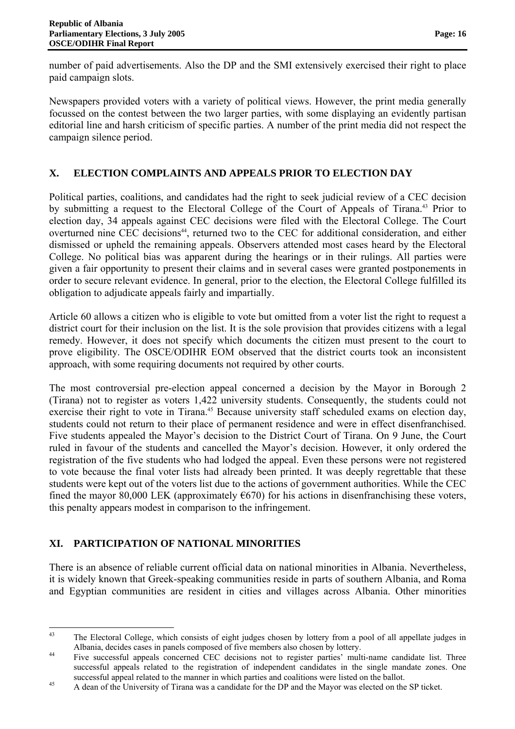number of paid advertisements. Also the DP and the SMI extensively exercised their right to place paid campaign slots.

Newspapers provided voters with a variety of political views. However, the print media generally focussed on the contest between the two larger parties, with some displaying an evidently partisan editorial line and harsh criticism of specific parties. A number of the print media did not respect the campaign silence period.

# **X. ELECTION COMPLAINTS AND APPEALS PRIOR TO ELECTION DAY**

Political parties, coalitions, and candidates had the right to seek judicial review of a CEC decision by submitting a request to the Electoral College of the Court of Appeals of Tirana.<sup>43</sup> Prior to election day, 34 appeals against CEC decisions were filed with the Electoral College. The Court overturned nine CEC decisions<sup>44</sup>, returned two to the CEC for additional consideration, and either dismissed or upheld the remaining appeals. Observers attended most cases heard by the Electoral College. No political bias was apparent during the hearings or in their rulings. All parties were given a fair opportunity to present their claims and in several cases were granted postponements in order to secure relevant evidence. In general, prior to the election, the Electoral College fulfilled its obligation to adjudicate appeals fairly and impartially.

Article 60 allows a citizen who is eligible to vote but omitted from a voter list the right to request a district court for their inclusion on the list. It is the sole provision that provides citizens with a legal remedy. However, it does not specify which documents the citizen must present to the court to prove eligibility. The OSCE/ODIHR EOM observed that the district courts took an inconsistent approach, with some requiring documents not required by other courts.

The most controversial pre-election appeal concerned a decision by the Mayor in Borough 2 (Tirana) not to register as voters 1,422 university students. Consequently, the students could not exercise their right to vote in Tirana.<sup>45</sup> Because university staff scheduled exams on election day, students could not return to their place of permanent residence and were in effect disenfranchised. Five students appealed the Mayor's decision to the District Court of Tirana. On 9 June, the Court ruled in favour of the students and cancelled the Mayor's decision. However, it only ordered the registration of the five students who had lodged the appeal. Even these persons were not registered to vote because the final voter lists had already been printed. It was deeply regrettable that these students were kept out of the voters list due to the actions of government authorities. While the CEC fined the mayor 80,000 LEK (approximately  $\epsilon$ 670) for his actions in disenfranchising these voters, this penalty appears modest in comparison to the infringement.

# **XI. PARTICIPATION OF NATIONAL MINORITIES**

There is an absence of reliable current official data on national minorities in Albania. Nevertheless, it is widely known that Greek-speaking communities reside in parts of southern Albania, and Roma and Egyptian communities are resident in cities and villages across Albania. Other minorities

 43 The Electoral College, which consists of eight judges chosen by lottery from a pool of all appellate judges in

Albania, decides cases in panels composed of five members also chosen by lottery.<br><sup>44</sup> Five successful appeals concerned CEC decisions not to register parties' multi-name candidate list. Three successful appeals related to the registration of independent candidates in the single mandate zones. One successful appeal related to the manner in which parties and coalitions were listed on the ballot.<br>A dean of the University of Tirana was a candidate for the DP and the Mayor was elected on the SP ticket.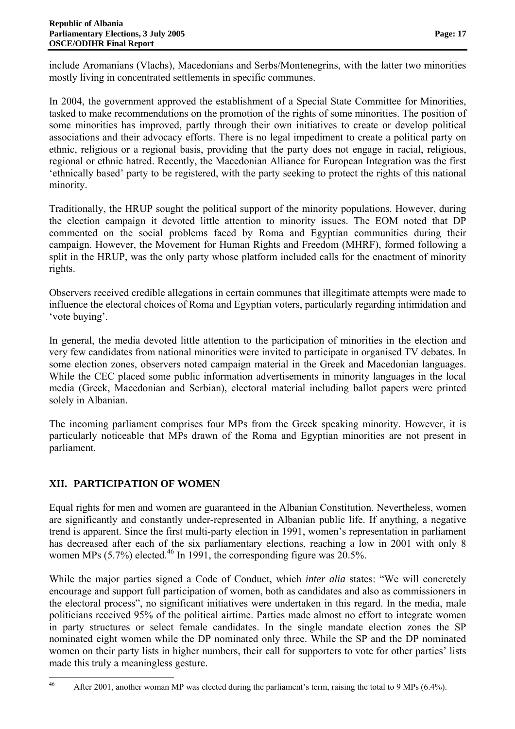include Aromanians (Vlachs), Macedonians and Serbs/Montenegrins, with the latter two minorities mostly living in concentrated settlements in specific communes.

In 2004, the government approved the establishment of a Special State Committee for Minorities, tasked to make recommendations on the promotion of the rights of some minorities. The position of some minorities has improved, partly through their own initiatives to create or develop political associations and their advocacy efforts. There is no legal impediment to create a political party on ethnic, religious or a regional basis, providing that the party does not engage in racial, religious, regional or ethnic hatred. Recently, the Macedonian Alliance for European Integration was the first 'ethnically based' party to be registered, with the party seeking to protect the rights of this national minority.

Traditionally, the HRUP sought the political support of the minority populations. However, during the election campaign it devoted little attention to minority issues. The EOM noted that DP commented on the social problems faced by Roma and Egyptian communities during their campaign. However, the Movement for Human Rights and Freedom (MHRF), formed following a split in the HRUP, was the only party whose platform included calls for the enactment of minority rights.

Observers received credible allegations in certain communes that illegitimate attempts were made to influence the electoral choices of Roma and Egyptian voters, particularly regarding intimidation and 'vote buying'.

In general, the media devoted little attention to the participation of minorities in the election and very few candidates from national minorities were invited to participate in organised TV debates. In some election zones, observers noted campaign material in the Greek and Macedonian languages. While the CEC placed some public information advertisements in minority languages in the local media (Greek, Macedonian and Serbian), electoral material including ballot papers were printed solely in Albanian.

The incoming parliament comprises four MPs from the Greek speaking minority. However, it is particularly noticeable that MPs drawn of the Roma and Egyptian minorities are not present in parliament.

# **XII. PARTICIPATION OF WOMEN**

Equal rights for men and women are guaranteed in the Albanian Constitution. Nevertheless, women are significantly and constantly under-represented in Albanian public life. If anything, a negative trend is apparent. Since the first multi-party election in 1991, women's representation in parliament has decreased after each of the six parliamentary elections, reaching a low in 2001 with only 8 women MPs  $(5.7\%)$  elected.<sup>46</sup> In 1991, the corresponding figure was  $20.5\%$ .

While the major parties signed a Code of Conduct, which *inter alia* states: "We will concretely encourage and support full participation of women, both as candidates and also as commissioners in the electoral process", no significant initiatives were undertaken in this regard. In the media, male politicians received 95% of the political airtime. Parties made almost no effort to integrate women in party structures or select female candidates. In the single mandate election zones the SP nominated eight women while the DP nominated only three. While the SP and the DP nominated women on their party lists in higher numbers, their call for supporters to vote for other parties' lists made this truly a meaningless gesture.

 After 2001, another woman MP was elected during the parliament's term, raising the total to 9 MPs (6.4%).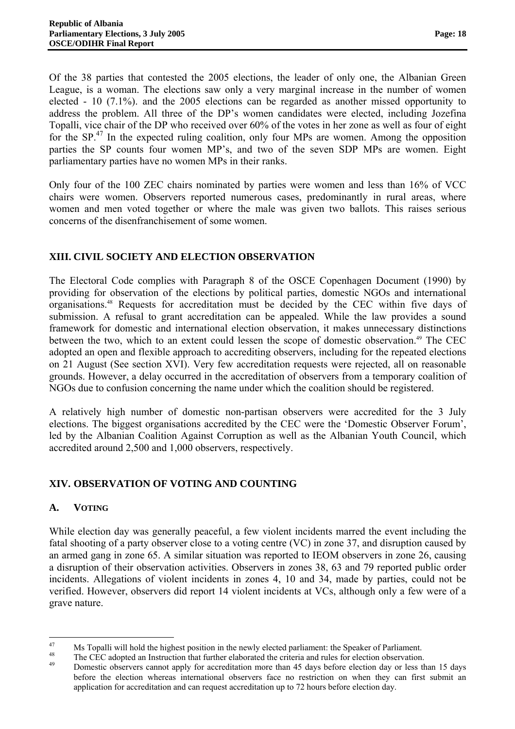Of the 38 parties that contested the 2005 elections, the leader of only one, the Albanian Green League, is a woman. The elections saw only a very marginal increase in the number of women elected - 10 (7.1%). and the 2005 elections can be regarded as another missed opportunity to address the problem. All three of the DP's women candidates were elected, including Jozefina Topalli, vice chair of the DP who received over 60% of the votes in her zone as well as four of eight for the  $SP<sup>47</sup>$  In the expected ruling coalition, only four MPs are women. Among the opposition parties the SP counts four women MP's, and two of the seven SDP MPs are women. Eight parliamentary parties have no women MPs in their ranks.

Only four of the 100 ZEC chairs nominated by parties were women and less than 16% of VCC chairs were women. Observers reported numerous cases, predominantly in rural areas, where women and men voted together or where the male was given two ballots. This raises serious concerns of the disenfranchisement of some women.

# **XIII. CIVIL SOCIETY AND ELECTION OBSERVATION**

The Electoral Code complies with Paragraph 8 of the OSCE Copenhagen Document (1990) by providing for observation of the elections by political parties, domestic NGOs and international organisations.48 Requests for accreditation must be decided by the CEC within five days of submission. A refusal to grant accreditation can be appealed. While the law provides a sound framework for domestic and international election observation, it makes unnecessary distinctions between the two, which to an extent could lessen the scope of domestic observation.<sup>49</sup> The CEC adopted an open and flexible approach to accrediting observers, including for the repeated elections on 21 August (See section XVI). Very few accreditation requests were rejected, all on reasonable grounds. However, a delay occurred in the accreditation of observers from a temporary coalition of NGOs due to confusion concerning the name under which the coalition should be registered.

A relatively high number of domestic non-partisan observers were accredited for the 3 July elections. The biggest organisations accredited by the CEC were the 'Domestic Observer Forum', led by the Albanian Coalition Against Corruption as well as the Albanian Youth Council, which accredited around 2,500 and 1,000 observers, respectively.

# **XIV. OBSERVATION OF VOTING AND COUNTING**

# **A. VOTING**

While election day was generally peaceful, a few violent incidents marred the event including the fatal shooting of a party observer close to a voting centre (VC) in zone 37, and disruption caused by an armed gang in zone 65. A similar situation was reported to IEOM observers in zone 26, causing a disruption of their observation activities. Observers in zones 38, 63 and 79 reported public order incidents. Allegations of violent incidents in zones 4, 10 and 34, made by parties, could not be verified. However, observers did report 14 violent incidents at VCs, although only a few were of a grave nature.

<sup>&</sup>lt;sup>47</sup> Ms Topalli will hold the highest position in the newly elected parliament: the Speaker of Parliament.<br><sup>48</sup> The CEC adopted an Instruction that further elaborated the criteria and rules for election observation.<br><sup>49</sup> before the election whereas international observers face no restriction on when they can first submit an application for accreditation and can request accreditation up to 72 hours before election day.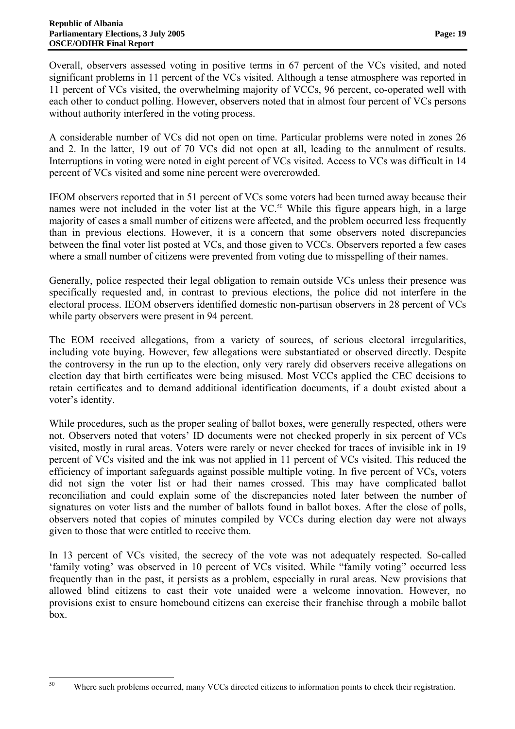Overall, observers assessed voting in positive terms in 67 percent of the VCs visited, and noted significant problems in 11 percent of the VCs visited. Although a tense atmosphere was reported in 11 percent of VCs visited, the overwhelming majority of VCCs, 96 percent, co-operated well with each other to conduct polling. However, observers noted that in almost four percent of VCs persons without authority interfered in the voting process.

A considerable number of VCs did not open on time. Particular problems were noted in zones 26 and 2. In the latter, 19 out of 70 VCs did not open at all, leading to the annulment of results. Interruptions in voting were noted in eight percent of VCs visited. Access to VCs was difficult in 14 percent of VCs visited and some nine percent were overcrowded.

IEOM observers reported that in 51 percent of VCs some voters had been turned away because their names were not included in the voter list at the VC.<sup>50</sup> While this figure appears high, in a large majority of cases a small number of citizens were affected, and the problem occurred less frequently than in previous elections. However, it is a concern that some observers noted discrepancies between the final voter list posted at VCs, and those given to VCCs. Observers reported a few cases where a small number of citizens were prevented from voting due to misspelling of their names.

Generally, police respected their legal obligation to remain outside VCs unless their presence was specifically requested and, in contrast to previous elections, the police did not interfere in the electoral process. IEOM observers identified domestic non-partisan observers in 28 percent of VCs while party observers were present in 94 percent.

The EOM received allegations, from a variety of sources, of serious electoral irregularities, including vote buying. However, few allegations were substantiated or observed directly. Despite the controversy in the run up to the election, only very rarely did observers receive allegations on election day that birth certificates were being misused. Most VCCs applied the CEC decisions to retain certificates and to demand additional identification documents, if a doubt existed about a voter's identity.

While procedures, such as the proper sealing of ballot boxes, were generally respected, others were not. Observers noted that voters' ID documents were not checked properly in six percent of VCs visited, mostly in rural areas. Voters were rarely or never checked for traces of invisible ink in 19 percent of VCs visited and the ink was not applied in 11 percent of VCs visited. This reduced the efficiency of important safeguards against possible multiple voting. In five percent of VCs, voters did not sign the voter list or had their names crossed. This may have complicated ballot reconciliation and could explain some of the discrepancies noted later between the number of signatures on voter lists and the number of ballots found in ballot boxes. After the close of polls, observers noted that copies of minutes compiled by VCCs during election day were not always given to those that were entitled to receive them.

In 13 percent of VCs visited, the secrecy of the vote was not adequately respected. So-called 'family voting' was observed in 10 percent of VCs visited. While "family voting" occurred less frequently than in the past, it persists as a problem, especially in rural areas. New provisions that allowed blind citizens to cast their vote unaided were a welcome innovation. However, no provisions exist to ensure homebound citizens can exercise their franchise through a mobile ballot box.

Where such problems occurred, many VCCs directed citizens to information points to check their registration.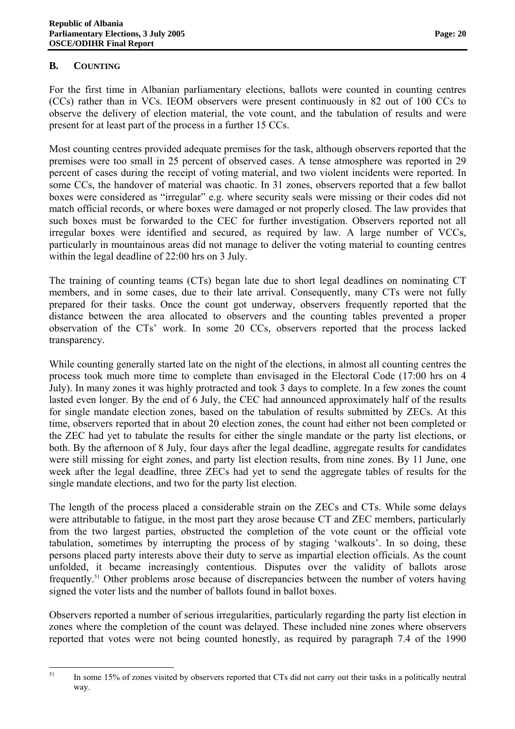### **B. COUNTING**

For the first time in Albanian parliamentary elections, ballots were counted in counting centres (CCs) rather than in VCs. IEOM observers were present continuously in 82 out of 100 CCs to observe the delivery of election material, the vote count, and the tabulation of results and were present for at least part of the process in a further 15 CCs.

Most counting centres provided adequate premises for the task, although observers reported that the premises were too small in 25 percent of observed cases. A tense atmosphere was reported in 29 percent of cases during the receipt of voting material, and two violent incidents were reported. In some CCs, the handover of material was chaotic. In 31 zones, observers reported that a few ballot boxes were considered as "irregular" e.g. where security seals were missing or their codes did not match official records, or where boxes were damaged or not properly closed. The law provides that such boxes must be forwarded to the CEC for further investigation. Observers reported not all irregular boxes were identified and secured, as required by law. A large number of VCCs, particularly in mountainous areas did not manage to deliver the voting material to counting centres within the legal deadline of 22:00 hrs on 3 July.

The training of counting teams (CTs) began late due to short legal deadlines on nominating CT members, and in some cases, due to their late arrival. Consequently, many CTs were not fully prepared for their tasks. Once the count got underway, observers frequently reported that the distance between the area allocated to observers and the counting tables prevented a proper observation of the CTs' work. In some 20 CCs, observers reported that the process lacked transparency.

While counting generally started late on the night of the elections, in almost all counting centres the process took much more time to complete than envisaged in the Electoral Code (17:00 hrs on 4 July). In many zones it was highly protracted and took 3 days to complete. In a few zones the count lasted even longer. By the end of 6 July, the CEC had announced approximately half of the results for single mandate election zones, based on the tabulation of results submitted by ZECs. At this time, observers reported that in about 20 election zones, the count had either not been completed or the ZEC had yet to tabulate the results for either the single mandate or the party list elections, or both. By the afternoon of 8 July, four days after the legal deadline, aggregate results for candidates were still missing for eight zones, and party list election results, from nine zones. By 11 June, one week after the legal deadline, three ZECs had yet to send the aggregate tables of results for the single mandate elections, and two for the party list election.

The length of the process placed a considerable strain on the ZECs and CTs. While some delays were attributable to fatigue, in the most part they arose because CT and ZEC members, particularly from the two largest parties, obstructed the completion of the vote count or the official vote tabulation, sometimes by interrupting the process of by staging 'walkouts'. In so doing, these persons placed party interests above their duty to serve as impartial election officials. As the count unfolded, it became increasingly contentious. Disputes over the validity of ballots arose frequently.51 Other problems arose because of discrepancies between the number of voters having signed the voter lists and the number of ballots found in ballot boxes.

Observers reported a number of serious irregularities, particularly regarding the party list election in zones where the completion of the count was delayed. These included nine zones where observers reported that votes were not being counted honestly, as required by paragraph 7.4 of the 1990

 In some 15% of zones visited by observers reported that CTs did not carry out their tasks in a politically neutral way.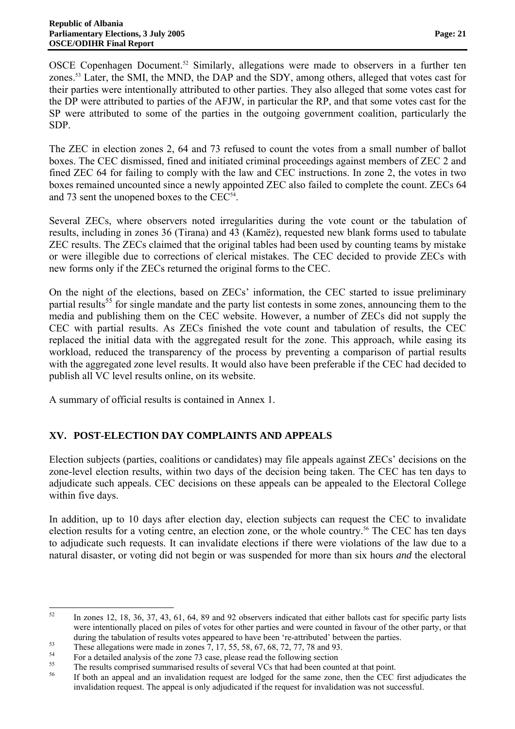OSCE Copenhagen Document.<sup>52</sup> Similarly, allegations were made to observers in a further ten zones.<sup>53</sup> Later, the SMI, the MND, the DAP and the SDY, among others, alleged that votes cast for their parties were intentionally attributed to other parties. They also alleged that some votes cast for the DP were attributed to parties of the AFJW, in particular the RP, and that some votes cast for the SP were attributed to some of the parties in the outgoing government coalition, particularly the SDP.

The ZEC in election zones 2, 64 and 73 refused to count the votes from a small number of ballot boxes. The CEC dismissed, fined and initiated criminal proceedings against members of ZEC 2 and fined ZEC 64 for failing to comply with the law and CEC instructions. In zone 2, the votes in two boxes remained uncounted since a newly appointed ZEC also failed to complete the count. ZECs 64 and 73 sent the unopened boxes to the CEC<sup>54</sup>.

Several ZECs, where observers noted irregularities during the vote count or the tabulation of results, including in zones 36 (Tirana) and 43 (Kamëz), requested new blank forms used to tabulate ZEC results. The ZECs claimed that the original tables had been used by counting teams by mistake or were illegible due to corrections of clerical mistakes. The CEC decided to provide ZECs with new forms only if the ZECs returned the original forms to the CEC.

On the night of the elections, based on ZECs' information, the CEC started to issue preliminary partial results<sup>55</sup> for single mandate and the party list contests in some zones, announcing them to the media and publishing them on the CEC website. However, a number of ZECs did not supply the CEC with partial results. As ZECs finished the vote count and tabulation of results, the CEC replaced the initial data with the aggregated result for the zone. This approach, while easing its workload, reduced the transparency of the process by preventing a comparison of partial results with the aggregated zone level results. It would also have been preferable if the CEC had decided to publish all VC level results online, on its website.

A summary of official results is contained in Annex 1.

# **XV. POST-ELECTION DAY COMPLAINTS AND APPEALS**

Election subjects (parties, coalitions or candidates) may file appeals against ZECs' decisions on the zone-level election results, within two days of the decision being taken. The CEC has ten days to adjudicate such appeals. CEC decisions on these appeals can be appealed to the Electoral College within five days.

In addition, up to 10 days after election day, election subjects can request the CEC to invalidate election results for a voting centre, an election zone, or the whole country.<sup>56</sup> The CEC has ten days to adjudicate such requests. It can invalidate elections if there were violations of the law due to a natural disaster, or voting did not begin or was suspended for more than six hours *and* the electoral

 52 In zones 12, 18, 36, 37, 43, 61, 64, 89 and 92 observers indicated that either ballots cast for specific party lists were intentionally placed on piles of votes for other parties and were counted in favour of the other party, or that

during the tabulation of results votes appeared to have been 're-attributed' between the parties.<br>These allegations were made in zones 7, 17, 55, 58, 67, 68, 72, 77, 78 and 93.<br>For a detailed analysis of the zone 73 case,

 $^{55}$  The results comprised summarised results of several VCs that had been counted at that point.<br> $^{56}$  The both an appeal and an invalidation request are lodged for the same zone, than the CEC

If both an appeal and an invalidation request are lodged for the same zone, then the CEC first adjudicates the invalidation request. The appeal is only adjudicated if the request for invalidation was not successful.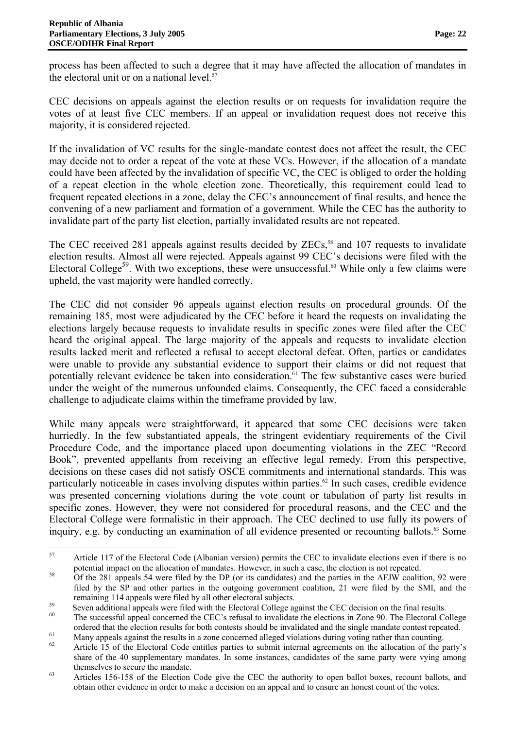process has been affected to such a degree that it may have affected the allocation of mandates in the electoral unit or on a national level. $57$ 

CEC decisions on appeals against the election results or on requests for invalidation require the votes of at least five CEC members. If an appeal or invalidation request does not receive this majority, it is considered rejected.

If the invalidation of VC results for the single-mandate contest does not affect the result, the CEC may decide not to order a repeat of the vote at these VCs. However, if the allocation of a mandate could have been affected by the invalidation of specific VC, the CEC is obliged to order the holding of a repeat election in the whole election zone. Theoretically, this requirement could lead to frequent repeated elections in a zone, delay the CEC's announcement of final results, and hence the convening of a new parliament and formation of a government. While the CEC has the authority to invalidate part of the party list election, partially invalidated results are not repeated.

The CEC received 281 appeals against results decided by ZECs,<sup>58</sup> and 107 requests to invalidate election results. Almost all were rejected. Appeals against 99 CEC's decisions were filed with the Electoral College<sup>59</sup>. With two exceptions, these were unsuccessful.<sup>60</sup> While only a few claims were upheld, the vast majority were handled correctly.

The CEC did not consider 96 appeals against election results on procedural grounds. Of the remaining 185, most were adjudicated by the CEC before it heard the requests on invalidating the elections largely because requests to invalidate results in specific zones were filed after the CEC heard the original appeal. The large majority of the appeals and requests to invalidate election results lacked merit and reflected a refusal to accept electoral defeat. Often, parties or candidates were unable to provide any substantial evidence to support their claims or did not request that potentially relevant evidence be taken into consideration.<sup>61</sup> The few substantive cases were buried under the weight of the numerous unfounded claims. Consequently, the CEC faced a considerable challenge to adjudicate claims within the timeframe provided by law.

While many appeals were straightforward, it appeared that some CEC decisions were taken hurriedly. In the few substantiated appeals, the stringent evidentiary requirements of the Civil Procedure Code, and the importance placed upon documenting violations in the ZEC "Record Book", prevented appellants from receiving an effective legal remedy. From this perspective, decisions on these cases did not satisfy OSCE commitments and international standards. This was particularly noticeable in cases involving disputes within parties.<sup>62</sup> In such cases, credible evidence was presented concerning violations during the vote count or tabulation of party list results in specific zones. However, they were not considered for procedural reasons, and the CEC and the Electoral College were formalistic in their approach. The CEC declined to use fully its powers of inquiry, e.g. by conducting an examination of all evidence presented or recounting ballots.<sup>63</sup> Some

 Article 117 of the Electoral Code (Albanian version) permits the CEC to invalidate elections even if there is no potential impact on the allocation of mandates. However, in such a case, the election is not repeated.<br>
58 Of the 281 appeals 54 were filed by the DP (or its candidates) and the parties in the AFJW coalition, 92 were

filed by the SP and other parties in the outgoing government coalition, 21 were filed by the SMI, and the

remaining 114 appeals were filed by all other electoral subjects.<br>Seven additional appeals were filed with the Electoral College against the CEC decision on the final results.<br>The successful appeal concerned the CEC's refu

ordered that the election results for both contests should be invalidated and the single mandate contest repeated.<br>Many appeals against the results in a zone concerned alleged violations during voting rather than counting.

<sup>62</sup> Article 15 of the Electoral Code entitles parties to submit internal agreements on the allocation of the party's share of the 40 supplementary mandates. In some instances, candidates of the same party were vying among themselves to secure the mandate.<br>Articles 156-158 of the Election Code give the CEC the authority to open ballot boxes, recount ballots, and

obtain other evidence in order to make a decision on an appeal and to ensure an honest count of the votes.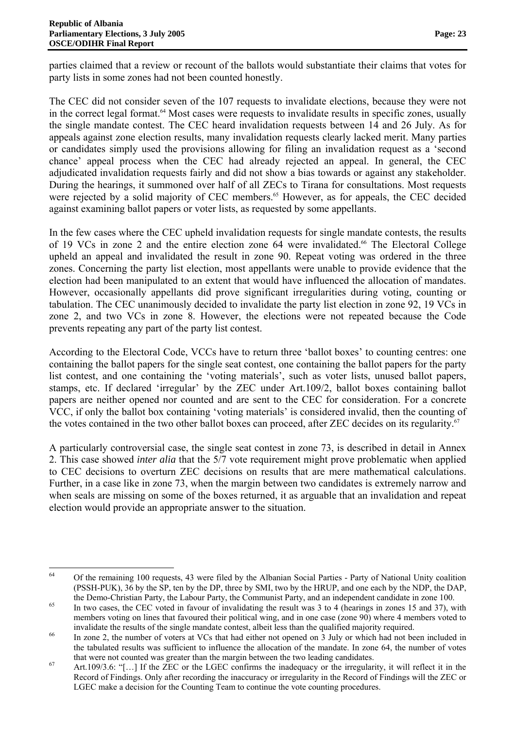parties claimed that a review or recount of the ballots would substantiate their claims that votes for party lists in some zones had not been counted honestly.

The CEC did not consider seven of the 107 requests to invalidate elections, because they were not in the correct legal format.<sup>64</sup> Most cases were requests to invalidate results in specific zones, usually the single mandate contest. The CEC heard invalidation requests between 14 and 26 July. As for appeals against zone election results, many invalidation requests clearly lacked merit. Many parties or candidates simply used the provisions allowing for filing an invalidation request as a 'second chance' appeal process when the CEC had already rejected an appeal. In general, the CEC adjudicated invalidation requests fairly and did not show a bias towards or against any stakeholder. During the hearings, it summoned over half of all ZECs to Tirana for consultations. Most requests were rejected by a solid majority of CEC members.<sup>65</sup> However, as for appeals, the CEC decided against examining ballot papers or voter lists, as requested by some appellants.

In the few cases where the CEC upheld invalidation requests for single mandate contests, the results of 19 VCs in zone 2 and the entire election zone 64 were invalidated.<sup>66</sup> The Electoral College upheld an appeal and invalidated the result in zone 90. Repeat voting was ordered in the three zones. Concerning the party list election, most appellants were unable to provide evidence that the election had been manipulated to an extent that would have influenced the allocation of mandates. However, occasionally appellants did prove significant irregularities during voting, counting or tabulation. The CEC unanimously decided to invalidate the party list election in zone 92, 19 VCs in zone 2, and two VCs in zone 8. However, the elections were not repeated because the Code prevents repeating any part of the party list contest.

According to the Electoral Code, VCCs have to return three 'ballot boxes' to counting centres: one containing the ballot papers for the single seat contest, one containing the ballot papers for the party list contest, and one containing the 'voting materials', such as voter lists, unused ballot papers, stamps, etc. If declared 'irregular' by the ZEC under Art.109/2, ballot boxes containing ballot papers are neither opened nor counted and are sent to the CEC for consideration. For a concrete VCC, if only the ballot box containing 'voting materials' is considered invalid, then the counting of the votes contained in the two other ballot boxes can proceed, after ZEC decides on its regularity.<sup>67</sup>

A particularly controversial case, the single seat contest in zone 73, is described in detail in Annex 2. This case showed *inter alia* that the 5/7 vote requirement might prove problematic when applied to CEC decisions to overturn ZEC decisions on results that are mere mathematical calculations. Further, in a case like in zone 73, when the margin between two candidates is extremely narrow and when seals are missing on some of the boxes returned, it as arguable that an invalidation and repeat election would provide an appropriate answer to the situation.

 64 Of the remaining 100 requests, 43 were filed by the Albanian Social Parties - Party of National Unity coalition (PSSH-PUK), 36 by the SP, ten by the DP, three by SMI, two by the HRUP, and one each by the NDP, the DAP,

the Demo-Christian Party, the Labour Party, the Communist Party, and an independent candidate in zone 100.<br>In two cases, the CEC voted in favour of invalidating the result was 3 to 4 (hearings in zones 15 and 37), with members voting on lines that favoured their political wing, and in one case (zone 90) where 4 members voted to

invalidate the results of the single mandate contest, albeit less than the qualified majority required.<br><sup>66</sup> In zone 2, the number of voters at VCs that had either not opened on 3 July or which had not been included in the tabulated results was sufficient to influence the allocation of the mandate. In zone 64, the number of votes

that were not counted was greater than the margin between the two leading candidates.<br>  $\text{Art.109/3.6: }$  "[...] If the ZEC or the LGEC confirms the inadequacy or the irregularity, it will reflect it in the Record of Findings. Only after recording the inaccuracy or irregularity in the Record of Findings will the ZEC or LGEC make a decision for the Counting Team to continue the vote counting procedures.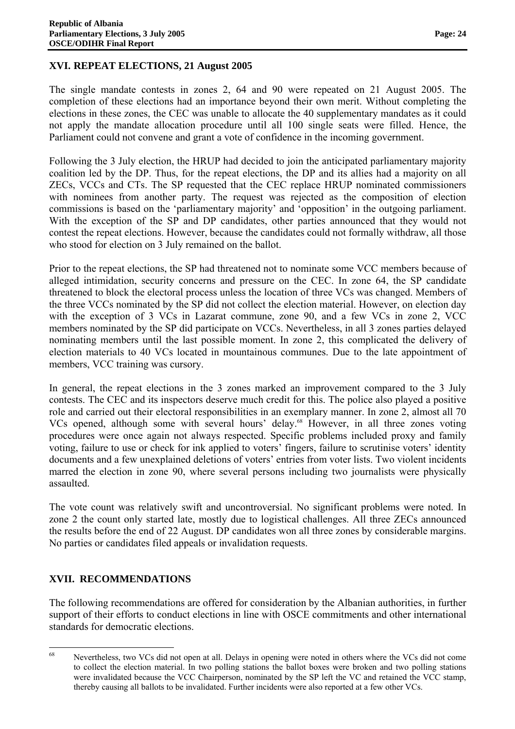### **XVI. REPEAT ELECTIONS, 21 August 2005**

The single mandate contests in zones 2, 64 and 90 were repeated on 21 August 2005. The completion of these elections had an importance beyond their own merit. Without completing the elections in these zones, the CEC was unable to allocate the 40 supplementary mandates as it could not apply the mandate allocation procedure until all 100 single seats were filled. Hence, the Parliament could not convene and grant a vote of confidence in the incoming government.

Following the 3 July election, the HRUP had decided to join the anticipated parliamentary majority coalition led by the DP. Thus, for the repeat elections, the DP and its allies had a majority on all ZECs, VCCs and CTs. The SP requested that the CEC replace HRUP nominated commissioners with nominees from another party. The request was rejected as the composition of election commissions is based on the 'parliamentary majority' and 'opposition' in the outgoing parliament. With the exception of the SP and DP candidates, other parties announced that they would not contest the repeat elections. However, because the candidates could not formally withdraw, all those who stood for election on 3 July remained on the ballot.

Prior to the repeat elections, the SP had threatened not to nominate some VCC members because of alleged intimidation, security concerns and pressure on the CEC. In zone 64, the SP candidate threatened to block the electoral process unless the location of three VCs was changed. Members of the three VCCs nominated by the SP did not collect the election material. However, on election day with the exception of 3 VCs in Lazarat commune, zone 90, and a few VCs in zone 2, VCC members nominated by the SP did participate on VCCs. Nevertheless, in all 3 zones parties delayed nominating members until the last possible moment. In zone 2, this complicated the delivery of election materials to 40 VCs located in mountainous communes. Due to the late appointment of members, VCC training was cursory.

In general, the repeat elections in the 3 zones marked an improvement compared to the 3 July contests. The CEC and its inspectors deserve much credit for this. The police also played a positive role and carried out their electoral responsibilities in an exemplary manner. In zone 2, almost all 70 VCs opened, although some with several hours' delay.<sup>68</sup> However, in all three zones voting procedures were once again not always respected. Specific problems included proxy and family voting, failure to use or check for ink applied to voters' fingers, failure to scrutinise voters' identity documents and a few unexplained deletions of voters' entries from voter lists. Two violent incidents marred the election in zone 90, where several persons including two journalists were physically assaulted.

The vote count was relatively swift and uncontroversial. No significant problems were noted. In zone 2 the count only started late, mostly due to logistical challenges. All three ZECs announced the results before the end of 22 August. DP candidates won all three zones by considerable margins. No parties or candidates filed appeals or invalidation requests.

# **XVII. RECOMMENDATIONS**

The following recommendations are offered for consideration by the Albanian authorities, in further support of their efforts to conduct elections in line with OSCE commitments and other international standards for democratic elections.

 Nevertheless, two VCs did not open at all. Delays in opening were noted in others where the VCs did not come to collect the election material. In two polling stations the ballot boxes were broken and two polling stations were invalidated because the VCC Chairperson, nominated by the SP left the VC and retained the VCC stamp, thereby causing all ballots to be invalidated. Further incidents were also reported at a few other VCs.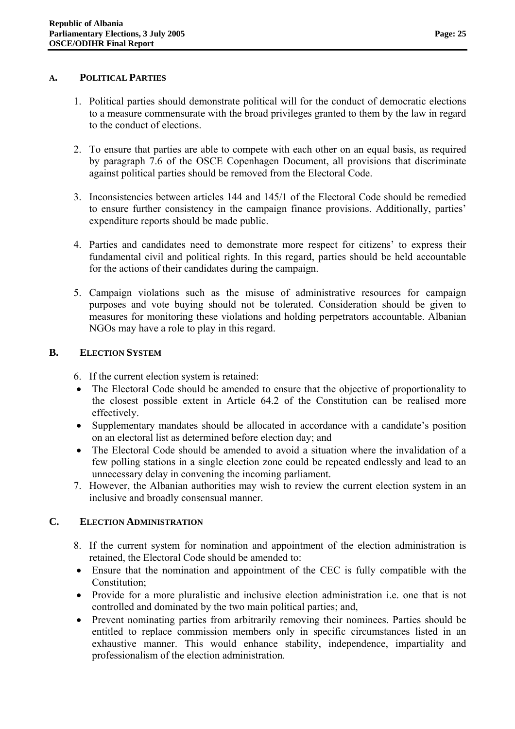- 1. Political parties should demonstrate political will for the conduct of democratic elections to a measure commensurate with the broad privileges granted to them by the law in regard to the conduct of elections.
- 2. To ensure that parties are able to compete with each other on an equal basis, as required by paragraph 7.6 of the OSCE Copenhagen Document, all provisions that discriminate against political parties should be removed from the Electoral Code.
- 3. Inconsistencies between articles 144 and 145/1 of the Electoral Code should be remedied to ensure further consistency in the campaign finance provisions. Additionally, parties' expenditure reports should be made public.
- 4. Parties and candidates need to demonstrate more respect for citizens' to express their fundamental civil and political rights. In this regard, parties should be held accountable for the actions of their candidates during the campaign.
- 5. Campaign violations such as the misuse of administrative resources for campaign purposes and vote buying should not be tolerated. Consideration should be given to measures for monitoring these violations and holding perpetrators accountable. Albanian NGOs may have a role to play in this regard.

### **B. ELECTION SYSTEM**

- 6. If the current election system is retained:
- The Electoral Code should be amended to ensure that the objective of proportionality to the closest possible extent in Article 64.2 of the Constitution can be realised more effectively.
- Supplementary mandates should be allocated in accordance with a candidate's position on an electoral list as determined before election day; and
- The Electoral Code should be amended to avoid a situation where the invalidation of a few polling stations in a single election zone could be repeated endlessly and lead to an unnecessary delay in convening the incoming parliament.
- 7. However, the Albanian authorities may wish to review the current election system in an inclusive and broadly consensual manner.

### **C. ELECTION ADMINISTRATION**

- 8. If the current system for nomination and appointment of the election administration is retained, the Electoral Code should be amended to:
- Ensure that the nomination and appointment of the CEC is fully compatible with the Constitution;
- Provide for a more pluralistic and inclusive election administration i.e. one that is not controlled and dominated by the two main political parties; and,
- Prevent nominating parties from arbitrarily removing their nominees. Parties should be entitled to replace commission members only in specific circumstances listed in an exhaustive manner. This would enhance stability, independence, impartiality and professionalism of the election administration.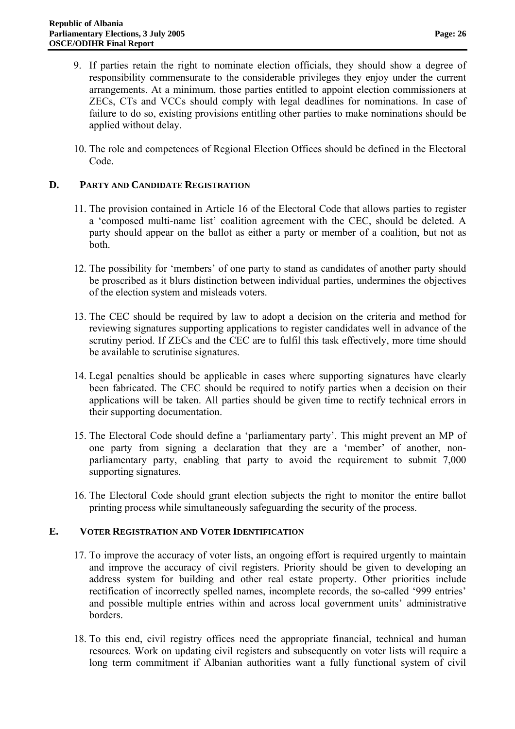- 9. If parties retain the right to nominate election officials, they should show a degree of responsibility commensurate to the considerable privileges they enjoy under the current arrangements. At a minimum, those parties entitled to appoint election commissioners at ZECs, CTs and VCCs should comply with legal deadlines for nominations. In case of failure to do so, existing provisions entitling other parties to make nominations should be applied without delay.
- 10. The role and competences of Regional Election Offices should be defined in the Electoral Code.

### **D. PARTY AND CANDIDATE REGISTRATION**

- 11. The provision contained in Article 16 of the Electoral Code that allows parties to register a 'composed multi-name list' coalition agreement with the CEC, should be deleted. A party should appear on the ballot as either a party or member of a coalition, but not as both.
- 12. The possibility for 'members' of one party to stand as candidates of another party should be proscribed as it blurs distinction between individual parties, undermines the objectives of the election system and misleads voters.
- 13. The CEC should be required by law to adopt a decision on the criteria and method for reviewing signatures supporting applications to register candidates well in advance of the scrutiny period. If ZECs and the CEC are to fulfil this task effectively, more time should be available to scrutinise signatures.
- 14. Legal penalties should be applicable in cases where supporting signatures have clearly been fabricated. The CEC should be required to notify parties when a decision on their applications will be taken. All parties should be given time to rectify technical errors in their supporting documentation.
- 15. The Electoral Code should define a 'parliamentary party'. This might prevent an MP of one party from signing a declaration that they are a 'member' of another, nonparliamentary party, enabling that party to avoid the requirement to submit 7,000 supporting signatures.
- 16. The Electoral Code should grant election subjects the right to monitor the entire ballot printing process while simultaneously safeguarding the security of the process.

#### **E. VOTER REGISTRATION AND VOTER IDENTIFICATION**

- 17. To improve the accuracy of voter lists, an ongoing effort is required urgently to maintain and improve the accuracy of civil registers. Priority should be given to developing an address system for building and other real estate property. Other priorities include rectification of incorrectly spelled names, incomplete records, the so-called '999 entries' and possible multiple entries within and across local government units' administrative borders.
- 18. To this end, civil registry offices need the appropriate financial, technical and human resources. Work on updating civil registers and subsequently on voter lists will require a long term commitment if Albanian authorities want a fully functional system of civil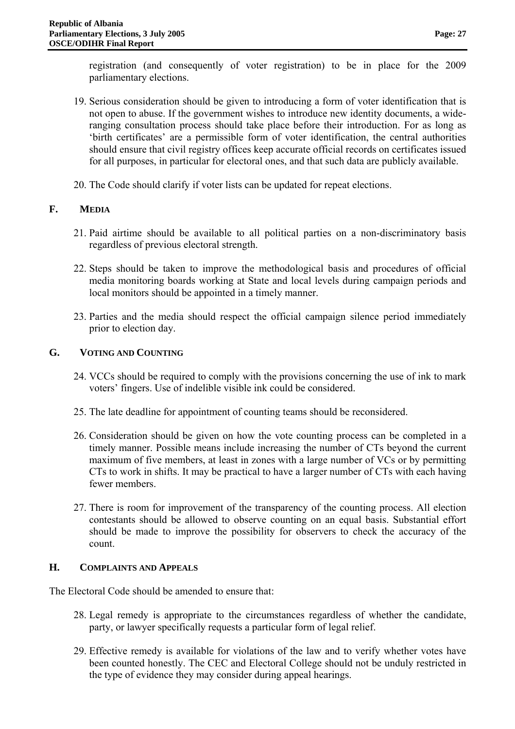registration (and consequently of voter registration) to be in place for the 2009 parliamentary elections.

- 19. Serious consideration should be given to introducing a form of voter identification that is not open to abuse. If the government wishes to introduce new identity documents, a wideranging consultation process should take place before their introduction. For as long as 'birth certificates' are a permissible form of voter identification, the central authorities should ensure that civil registry offices keep accurate official records on certificates issued for all purposes, in particular for electoral ones, and that such data are publicly available.
- 20. The Code should clarify if voter lists can be updated for repeat elections.

# **F. MEDIA**

- 21. Paid airtime should be available to all political parties on a non-discriminatory basis regardless of previous electoral strength.
- 22. Steps should be taken to improve the methodological basis and procedures of official media monitoring boards working at State and local levels during campaign periods and local monitors should be appointed in a timely manner.
- 23. Parties and the media should respect the official campaign silence period immediately prior to election day.

# **G. VOTING AND COUNTING**

- 24. VCCs should be required to comply with the provisions concerning the use of ink to mark voters' fingers. Use of indelible visible ink could be considered.
- 25. The late deadline for appointment of counting teams should be reconsidered.
- 26. Consideration should be given on how the vote counting process can be completed in a timely manner. Possible means include increasing the number of CTs beyond the current maximum of five members, at least in zones with a large number of VCs or by permitting CTs to work in shifts. It may be practical to have a larger number of CTs with each having fewer members.
- 27. There is room for improvement of the transparency of the counting process. All election contestants should be allowed to observe counting on an equal basis. Substantial effort should be made to improve the possibility for observers to check the accuracy of the count.

# **H. COMPLAINTS AND APPEALS**

The Electoral Code should be amended to ensure that:

- 28. Legal remedy is appropriate to the circumstances regardless of whether the candidate, party, or lawyer specifically requests a particular form of legal relief.
- 29. Effective remedy is available for violations of the law and to verify whether votes have been counted honestly. The CEC and Electoral College should not be unduly restricted in the type of evidence they may consider during appeal hearings.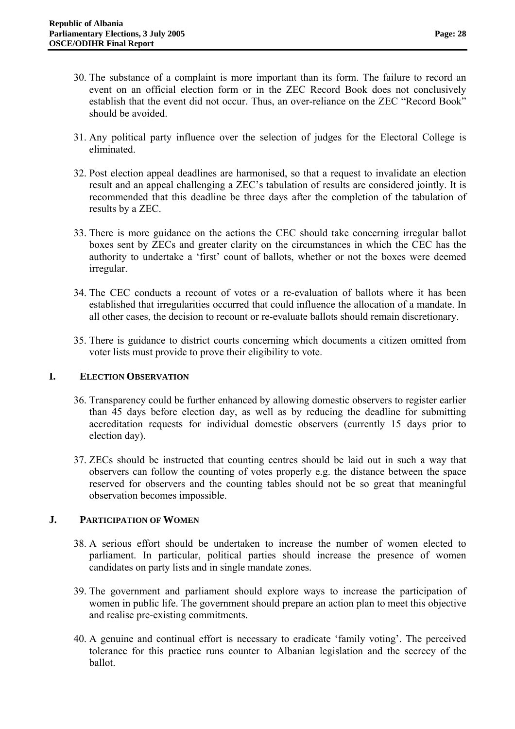- 30. The substance of a complaint is more important than its form. The failure to record an event on an official election form or in the ZEC Record Book does not conclusively establish that the event did not occur. Thus, an over-reliance on the ZEC "Record Book" should be avoided.
- 31. Any political party influence over the selection of judges for the Electoral College is eliminated.
- 32. Post election appeal deadlines are harmonised, so that a request to invalidate an election result and an appeal challenging a ZEC's tabulation of results are considered jointly. It is recommended that this deadline be three days after the completion of the tabulation of results by a ZEC.
- 33. There is more guidance on the actions the CEC should take concerning irregular ballot boxes sent by ZECs and greater clarity on the circumstances in which the CEC has the authority to undertake a 'first' count of ballots, whether or not the boxes were deemed irregular.
- 34. The CEC conducts a recount of votes or a re-evaluation of ballots where it has been established that irregularities occurred that could influence the allocation of a mandate. In all other cases, the decision to recount or re-evaluate ballots should remain discretionary.
- 35. There is guidance to district courts concerning which documents a citizen omitted from voter lists must provide to prove their eligibility to vote.

### **I. ELECTION OBSERVATION**

- 36. Transparency could be further enhanced by allowing domestic observers to register earlier than 45 days before election day, as well as by reducing the deadline for submitting accreditation requests for individual domestic observers (currently 15 days prior to election day).
- 37. ZECs should be instructed that counting centres should be laid out in such a way that observers can follow the counting of votes properly e.g. the distance between the space reserved for observers and the counting tables should not be so great that meaningful observation becomes impossible.

### **J. PARTICIPATION OF WOMEN**

- 38. A serious effort should be undertaken to increase the number of women elected to parliament. In particular, political parties should increase the presence of women candidates on party lists and in single mandate zones.
- 39. The government and parliament should explore ways to increase the participation of women in public life. The government should prepare an action plan to meet this objective and realise pre-existing commitments.
- 40. A genuine and continual effort is necessary to eradicate 'family voting'. The perceived tolerance for this practice runs counter to Albanian legislation and the secrecy of the ballot.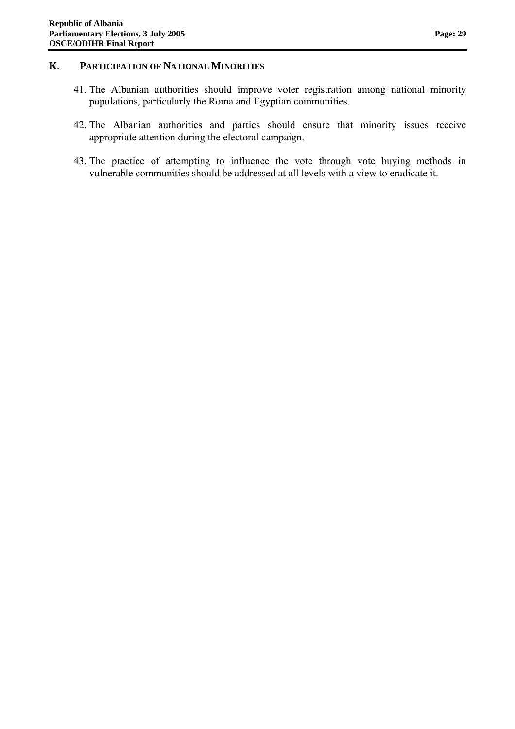#### **K. PARTICIPATION OF NATIONAL MINORITIES**

- 41. The Albanian authorities should improve voter registration among national minority populations, particularly the Roma and Egyptian communities.
- 42. The Albanian authorities and parties should ensure that minority issues receive appropriate attention during the electoral campaign.
- 43. The practice of attempting to influence the vote through vote buying methods in vulnerable communities should be addressed at all levels with a view to eradicate it.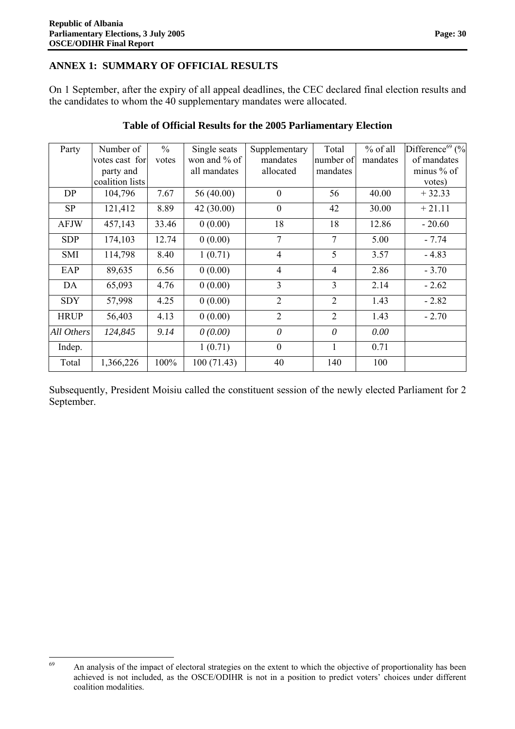# **ANNEX 1: SUMMARY OF OFFICIAL RESULTS**

On 1 September, after the expiry of all appeal deadlines, the CEC declared final election results and the candidates to whom the 40 supplementary mandates were allocated.

| Party       | Number of<br>votes cast for<br>party and<br>coalition lists | $\frac{0}{0}$<br>votes | Single seats<br>won and % of<br>all mandates | Supplementary<br>mandates<br>allocated | Total<br>number of<br>mandates | % of all<br>mandates | Difference <sup>69</sup> (%<br>of mandates<br>minus $%$ of<br>votes) |
|-------------|-------------------------------------------------------------|------------------------|----------------------------------------------|----------------------------------------|--------------------------------|----------------------|----------------------------------------------------------------------|
| DP          | 104,796                                                     | 7.67                   | 56(40.00)                                    | $\mathbf{0}$                           | 56                             | 40.00                | $+32.33$                                                             |
| <b>SP</b>   | 121,412                                                     | 8.89                   | 42(30.00)                                    | $\mathbf{0}$                           | 42                             | 30.00                | $+21.11$                                                             |
| <b>AFJW</b> | 457,143                                                     | 33.46                  | 0(0.00)                                      | 18                                     | 18                             | 12.86                | $-20.60$                                                             |
| <b>SDP</b>  | 174,103                                                     | 12.74                  | 0(0.00)                                      | $\tau$                                 | 7                              | 5.00                 | $-7.74$                                                              |
| <b>SMI</b>  | 114,798                                                     | 8.40                   | 1(0.71)                                      | $\overline{4}$                         | 5                              | 3.57                 | $-4.83$                                                              |
| EAP         | 89,635                                                      | 6.56                   | 0(0.00)                                      | $\overline{4}$                         | $\overline{4}$                 | 2.86                 | $-3.70$                                                              |
| DA          | 65,093                                                      | 4.76                   | 0(0.00)                                      | 3                                      | 3                              | 2.14                 | $-2.62$                                                              |
| <b>SDY</b>  | 57,998                                                      | 4.25                   | 0(0.00)                                      | $\overline{2}$                         | 2                              | 1.43                 | $-2.82$                                                              |
| <b>HRUP</b> | 56,403                                                      | 4.13                   | 0(0.00)                                      | $\overline{2}$                         | $\overline{2}$                 | 1.43                 | $-2.70$                                                              |
| All Others  | 124,845                                                     | 9.14                   | 0(0.00)                                      | $\theta$                               | $\theta$                       | 0.00                 |                                                                      |
| Indep.      |                                                             |                        | 1(0.71)                                      | $\mathbf{0}$                           |                                | 0.71                 |                                                                      |
| Total       | 1,366,226                                                   | 100%                   | 100(71.43)                                   | 40                                     | 140                            | 100                  |                                                                      |

## **Table of Official Results for the 2005 Parliamentary Election**

Subsequently, President Moisiu called the constituent session of the newly elected Parliament for 2 September.

 An analysis of the impact of electoral strategies on the extent to which the objective of proportionality has been achieved is not included, as the OSCE/ODIHR is not in a position to predict voters' choices under different coalition modalities.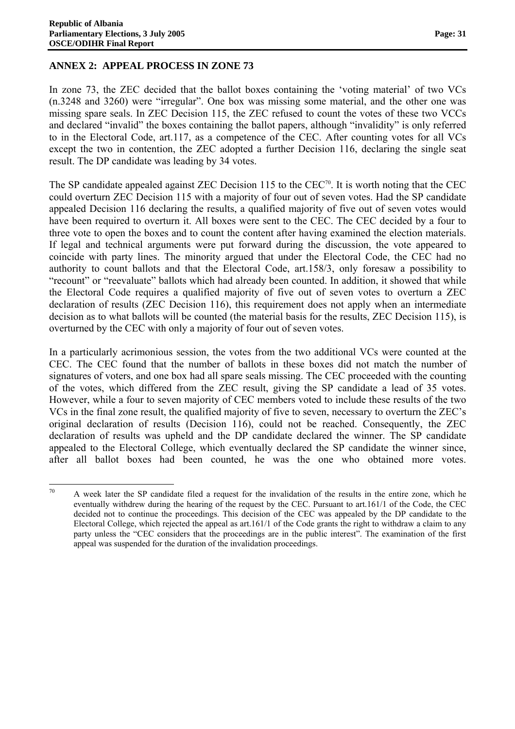### **ANNEX 2: APPEAL PROCESS IN ZONE 73**

In zone 73, the ZEC decided that the ballot boxes containing the 'voting material' of two VCs (n.3248 and 3260) were "irregular". One box was missing some material, and the other one was missing spare seals. In ZEC Decision 115, the ZEC refused to count the votes of these two VCCs and declared "invalid" the boxes containing the ballot papers, although "invalidity" is only referred to in the Electoral Code, art.117, as a competence of the CEC. After counting votes for all VCs except the two in contention, the ZEC adopted a further Decision 116, declaring the single seat result. The DP candidate was leading by 34 votes.

The SP candidate appealed against ZEC Decision 115 to the  $CEC<sup>70</sup>$ . It is worth noting that the CEC could overturn ZEC Decision 115 with a majority of four out of seven votes. Had the SP candidate appealed Decision 116 declaring the results, a qualified majority of five out of seven votes would have been required to overturn it. All boxes were sent to the CEC. The CEC decided by a four to three vote to open the boxes and to count the content after having examined the election materials. If legal and technical arguments were put forward during the discussion, the vote appeared to coincide with party lines. The minority argued that under the Electoral Code, the CEC had no authority to count ballots and that the Electoral Code, art.158/3, only foresaw a possibility to "recount" or "reevaluate" ballots which had already been counted. In addition, it showed that while the Electoral Code requires a qualified majority of five out of seven votes to overturn a ZEC declaration of results (ZEC Decision 116), this requirement does not apply when an intermediate decision as to what ballots will be counted (the material basis for the results, ZEC Decision 115), is overturned by the CEC with only a majority of four out of seven votes.

In a particularly acrimonious session, the votes from the two additional VCs were counted at the CEC. The CEC found that the number of ballots in these boxes did not match the number of signatures of voters, and one box had all spare seals missing. The CEC proceeded with the counting of the votes, which differed from the ZEC result, giving the SP candidate a lead of 35 votes. However, while a four to seven majority of CEC members voted to include these results of the two VCs in the final zone result, the qualified majority of five to seven, necessary to overturn the ZEC's original declaration of results (Decision 116), could not be reached. Consequently, the ZEC declaration of results was upheld and the DP candidate declared the winner. The SP candidate appealed to the Electoral College, which eventually declared the SP candidate the winner since, after all ballot boxes had been counted, he was the one who obtained more votes.

 A week later the SP candidate filed a request for the invalidation of the results in the entire zone, which he eventually withdrew during the hearing of the request by the CEC. Pursuant to art.161/1 of the Code, the CEC decided not to continue the proceedings. This decision of the CEC was appealed by the DP candidate to the Electoral College, which rejected the appeal as art.161/1 of the Code grants the right to withdraw a claim to any party unless the "CEC considers that the proceedings are in the public interest". The examination of the first appeal was suspended for the duration of the invalidation proceedings.